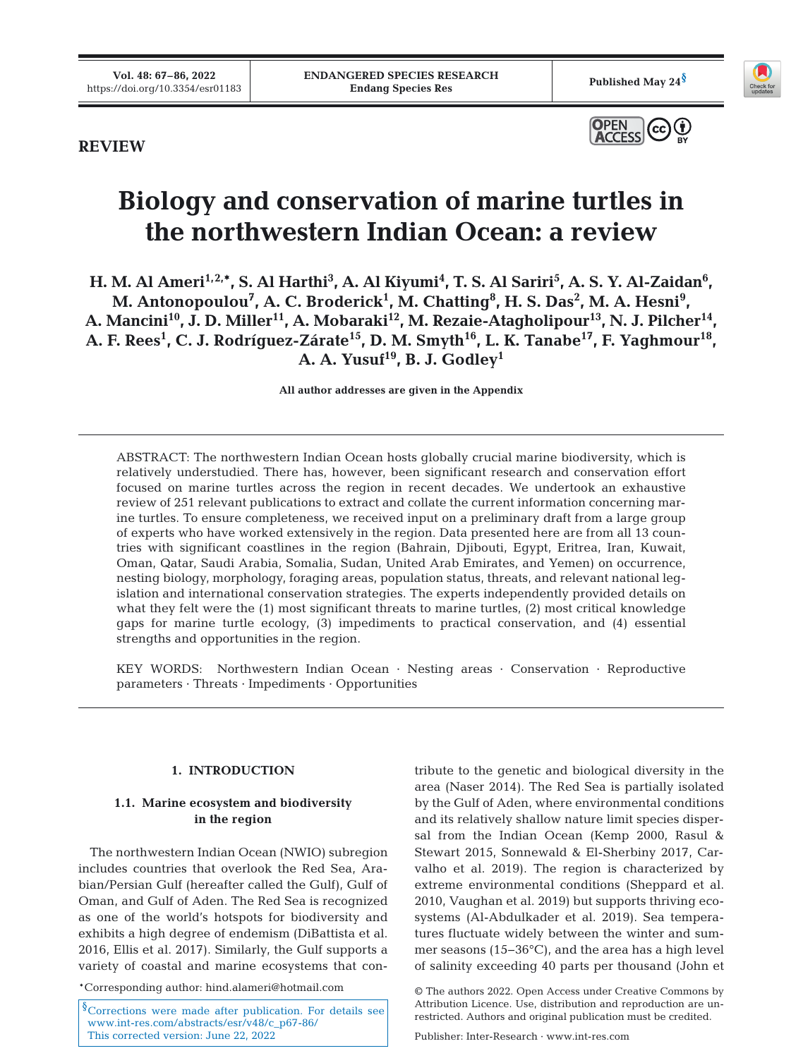

# **REVIEW**



# **Biology and conservation of marine turtles in the northwestern Indian Ocean: a review**

**H. M. Al Ameri<sup>1,2,\*</sup>, S. Al Harthi<sup>3</sup>, A. Al Kiyumi<sup>4</sup>, T. S. Al Sariri<sup>5</sup>, A. S. Y. Al-Zaidan<sup>6</sup>,** M. Antonopoulou<sup>7</sup>, A. C. Broderick<sup>1</sup>, M. Chatting<sup>8</sup>, H. S. Das<sup>2</sup>, M. A. Hesni<sup>9</sup>, A. Mancini<sup>10</sup>, J. D. Miller<sup>11</sup>, A. Mobaraki<sup>12</sup>, M. Rezaie-Atagholipour<sup>13</sup>, N. J. Pilcher<sup>14</sup>, A. F. Rees<sup>1</sup>, C. J. Rodríguez-Zárate<sup>15</sup>, D. M. Smyth<sup>16</sup>, L. K. Tanabe<sup>17</sup>, F. Yaghmour<sup>18</sup>, A. A. Yusuf<sup>19</sup>, B. J. Godley<sup>1</sup>

**All author addresses are given in the Appendix**

ABSTRACT: The northwestern Indian Ocean hosts globally crucial marine biodiversity, which is relatively understudied. There has, however, been significant research and conservation effort focused on marine turtles across the region in recent decades. We undertook an exhaustive review of 251 relevant publications to extract and collate the current information concerning marine turtles. To ensure completeness, we received input on a preliminary draft from a large group of experts who have worked extensively in the region. Data presented here are from all 13 countries with significant coastlines in the region (Bahrain, Djibouti, Egypt, Eritrea, Iran, Kuwait, Oman, Qatar, Saudi Arabia, Somalia, Sudan, United Arab Emirates, and Yemen) on occurrence, nesting biology, morphology, foraging areas, population status, threats, and relevant national legislation and international conservation strategies. The experts independently provided details on what they felt were the (1) most significant threats to marine turtles, (2) most critical knowledge gaps for marine turtle ecology, (3) impediments to practical conservation, and (4) essential strengths and opportunities in the region.

KEY WORDS: Northwestern Indian Ocean · Nesting areas · Conservation · Reproductive parameters · Threats · Impediments · Opportunities

# **1. INTRODUCTION**

# **1.1. Marine ecosystem and biodiversity in the region**

The northwestern Indian Ocean (NWIO) subregion includes countries that overlook the Red Sea, Arabian/Persian Gulf (hereafter called the Gulf), Gulf of Oman, and Gulf of Aden. The Red Sea is recognized as one of the world's hotspots for biodiversity and exhibits a high degree of endemism (DiBattista et al. 2016, Ellis et al. 2017). Similarly, the Gulf supports a variety of coastal and marine ecosystems that con-

\*Corresponding author: hind.alameri@hotmail.com

<sup>§</sup>Corrections were made after publication. For details see [www.int-res.com/abstracts/esr/v48/c\\_p67-86/](https://www.int-res.com/abstracts/esr/v48/c_p67-86/) This corrected version: June 22, 2022

tribute to the genetic and biological diversity in the area (Naser 2014). The Red Sea is partially isolated by the Gulf of Aden, where environmental conditions and its relatively shallow nature limit species dispersal from the Indian Ocean (Kemp 2000, Rasul & Stewart 2015, Sonnewald & El-Sherbiny 2017, Carvalho et al. 2019). The region is characterized by extreme environmental conditions (Sheppard et al. 2010, Vaughan et al. 2019) but supports thriving ecosystems (Al-Abdulkader et al. 2019). Sea temperatures fluctuate widely between the winter and summer seasons (15−36°C), and the area has a high level of salinity exceeding 40 parts per thousand (John et

<sup>©</sup> The authors 2022. Open Access under Creative Commons by Attribution Licence. Use, distribution and reproduction are unrestricted. Authors and original publication must be credited.

Publisher: Inter-Research · www.int-res.com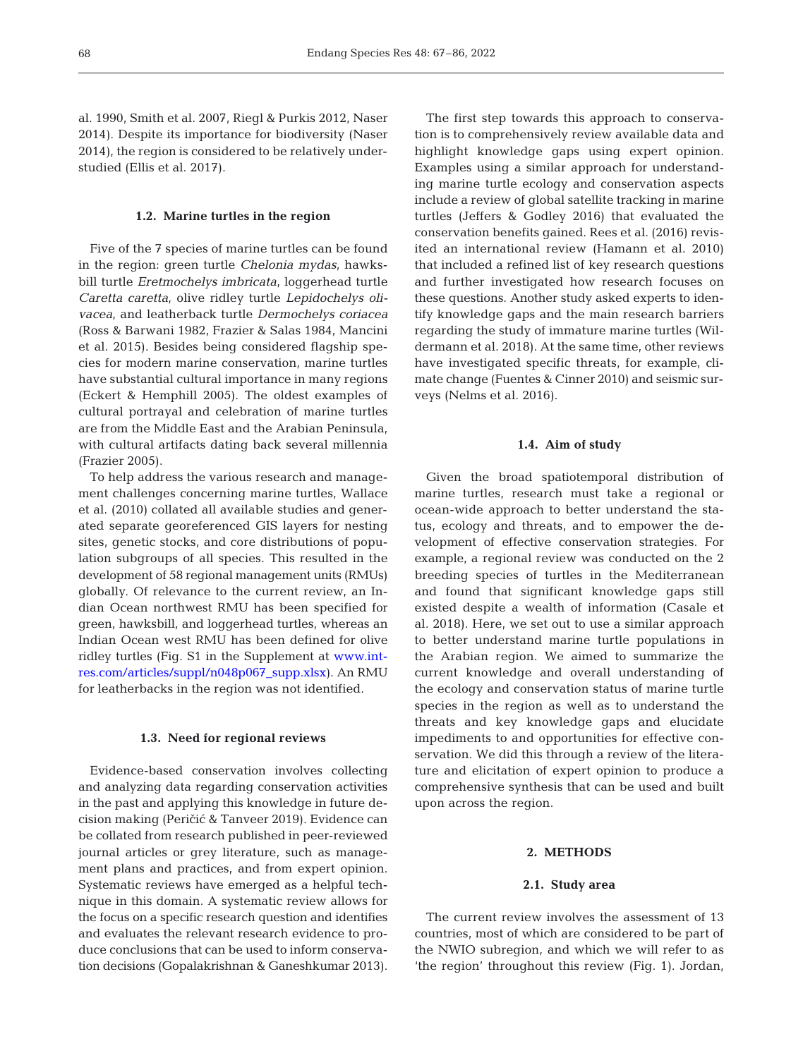al. 1990, Smith et al. 2007, Riegl & Purkis 2012, Naser 2014). Despite its importance for biodiversity (Naser 2014), the region is considered to be relatively understudied (Ellis et al. 2017).

#### **1.2. Marine turtles in the region**

Five of the 7 species of marine turtles can be found in the region: green turtle *Chelonia mydas*, hawksbill turtle *Eretmochelys imbricata*, loggerhead turtle *Caretta caretta*, olive ridley turtle *Lepidochelys olivacea*, and leatherback turtle *Dermochelys coriacea* (Ross & Barwani 1982, Frazier & Salas 1984, Mancini et al. 2015). Besides being considered flagship species for modern marine conservation, marine turtles have substantial cultural importance in many regions (Eckert & Hemphill 2005). The oldest examples of cultural portrayal and celebration of marine turtles are from the Middle East and the Arabian Peninsula, with cultural artifacts dating back several millennia (Frazier 2005).

To help address the various research and management challenges concerning marine turtles, Wallace et al. (2010) collated all available studies and generated separate georeferenced GIS layers for nesting sites, genetic stocks, and core distributions of population subgroups of all species. This resulted in the development of 58 regional management units (RMUs) globally. Of relevance to the current review, an Indian Ocean northwest RMU has been specified for green, hawksbill, and loggerhead turtles, whereas an Indian Ocean west RMU has been defined for olive ridley turtles (Fig. S1 in the Supplement at [www.int](https://www.int-res.com/articles/suppl/n048p067_supp.xlsx)[res.com/articles/suppl/n048p067\\_supp.xlsx\)](https://www.int-res.com/articles/suppl/n048p067_supp.xlsx). An RMU for leatherbacks in the region was not identified.

#### **1.3. Need for regional reviews**

Evidence-based conservation involves collecting and analyzing data regarding conservation activities in the past and applying this knowledge in future decision making (Peričić & Tanveer 2019). Evidence can be collated from research published in peer-reviewed journal articles or grey literature, such as management plans and practices, and from expert opinion. Systematic reviews have emerged as a helpful technique in this domain. A systematic review allows for the focus on a specific research question and identifies and evaluates the relevant research evidence to produce conclusions that can be used to inform conservation decisions (Gopalakrishnan & Ganeshkumar 2013).

The first step towards this approach to conservation is to comprehensively review available data and highlight knowledge gaps using expert opinion. Examples using a similar approach for understanding marine turtle ecology and conservation aspects include a review of global satellite tracking in marine turtles (Jeffers & Godley 2016) that evaluated the conservation benefits gained. Rees et al. (2016) revisited an international review (Hamann et al. 2010) that included a refined list of key research questions and further investigated how research focuses on these questions. Another study asked experts to identify knowledge gaps and the main research barriers regarding the study of immature marine turtles (Wildermann et al. 2018). At the same time, other reviews have investigated specific threats, for example, climate change (Fuentes & Cinner 2010) and seismic surveys (Nelms et al. 2016).

## **1.4. Aim of study**

Given the broad spatiotemporal distribution of marine turtles, research must take a regional or ocean-wide approach to better understand the status, ecology and threats, and to empower the development of effective conservation strategies. For example, a regional review was conducted on the 2 breeding species of turtles in the Mediterranean and found that significant knowledge gaps still existed despite a wealth of information (Casale et al. 2018). Here, we set out to use a similar approach to better understand marine turtle populations in the Arabian region. We aimed to summarize the current knowledge and overall understanding of the ecology and conservation status of marine turtle species in the region as well as to understand the threats and key knowledge gaps and elucidate impediments to and opportunities for effective conservation. We did this through a review of the literature and elicitation of expert opinion to produce a comprehensive synthesis that can be used and built upon across the region.

# **2. METHODS**

#### **2.1. Study area**

The current review involves the assessment of 13 countries, most of which are considered to be part of the NWIO subregion, and which we will refer to as 'the region' throughout this review (Fig. 1). Jordan,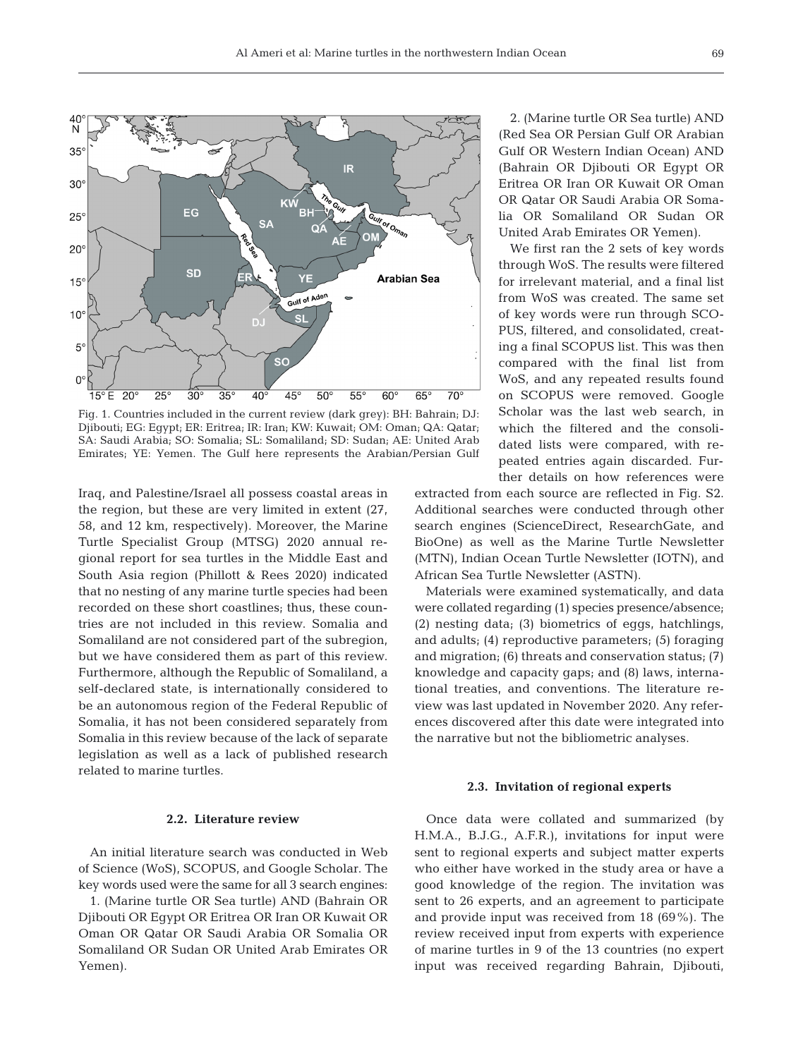

Fig. 1. Countries included in the current review (dark grey): BH: Bahrain; DJ: Djibouti; EG: Egypt; ER: Eritrea; IR: Iran; KW: Kuwait; OM: Oman; QA: Qatar; SA: Saudi Arabia; SO: Somalia; SL: Somaliland; SD: Sudan; AE: United Arab Emirates; YE: Yemen. The Gulf here represents the Arabian/Persian Gulf

Iraq, and Palestine/Israel all possess coastal areas in the region, but these are very limited in extent  $(27, 12)$ 58, and 12 km, respectively). Moreover, the Marine Turtle Specialist Group (MTSG) 2020 annual re gional report for sea turtles in the Middle East and South Asia region (Phillott & Rees 2020) indicated that no nesting of any marine turtle species had been re corded on these short coastlines; thus, these countries are not included in this review. Somalia and Somaliland are not considered part of the subregion, but we have considered them as part of this review. Furthermore, although the Republic of Somaliland, a self-declared state, is internationally considered to be an autonomous region of the Federal Republic of Somalia, it has not been considered separately from Somalia in this review because of the lack of separate legislation as well as a lack of published research related to marine turtles.

#### **2.2. Literature review**

An initial literature search was conducted in Web of Science (WoS), SCOPUS, and Google Scholar. The key words used were the same for all 3 search engines:

1. (Marine turtle OR Sea turtle) AND (Bahrain OR Djibouti OR Egypt OR Eritrea OR Iran OR Kuwait OR Oman OR Qatar OR Saudi Arabia OR Somalia OR Somaliland OR Sudan OR United Arab Emirates OR Yemen).

2. (Marine turtle OR Sea turtle) AND (Red Sea OR Persian Gulf OR Arabian Gulf OR Western Indian Ocean) AND (Bahrain OR Djibouti OR Egypt OR Eritrea OR Iran OR Kuwait OR Oman OR Qatar OR Saudi Arabia OR Somalia OR Somaliland OR Sudan OR United Arab Emirates OR Yemen).

We first ran the 2 sets of key words through WoS. The results were filtered for irrelevant material, and a final list from WoS was created. The same set of key words were run through SCO-PUS, filtered, and consolidated, creating a final SCOPUS list. This was then compared with the final list from WoS, and any repeated results found on SCOPUS were removed. Google Scholar was the last web search, in which the filtered and the consolidated lists were compared, with repeated entries again discarded. Further details on how references were

extracted from each source are reflected in Fig. S2. Additional searches were conducted through other search engines (ScienceDirect, ResearchGate, and BioOne) as well as the Marine Turtle Newsletter (MTN), Indian Ocean Turtle Newsletter (IOTN), and African Sea Turtle Newsletter (ASTN).

Materials were examined systematically, and data were collated regarding (1) species presence/absence; (2) nesting data; (3) biometrics of eggs, hatchlings, and adults; (4) reproductive parameters; (5) foraging and migration; (6) threats and conservation status; (7) knowledge and capacity gaps; and (8) laws, international treaties, and conventions. The literature review was last updated in November 2020. Any references discovered after this date were integrated into the narrative but not the bibliometric analyses.

#### **2.3. Invitation of regional experts**

Once data were collated and summarized (by H.M.A., B.J.G., A.F.R.), invitations for input were sent to regional experts and subject matter experts who either have worked in the study area or have a good knowledge of the region. The invitation was sent to 26 experts, and an agreement to participate and provide input was received from 18 (69%). The review received input from experts with experience of marine turtles in 9 of the 13 countries (no expert input was received regarding Bahrain, Djibouti,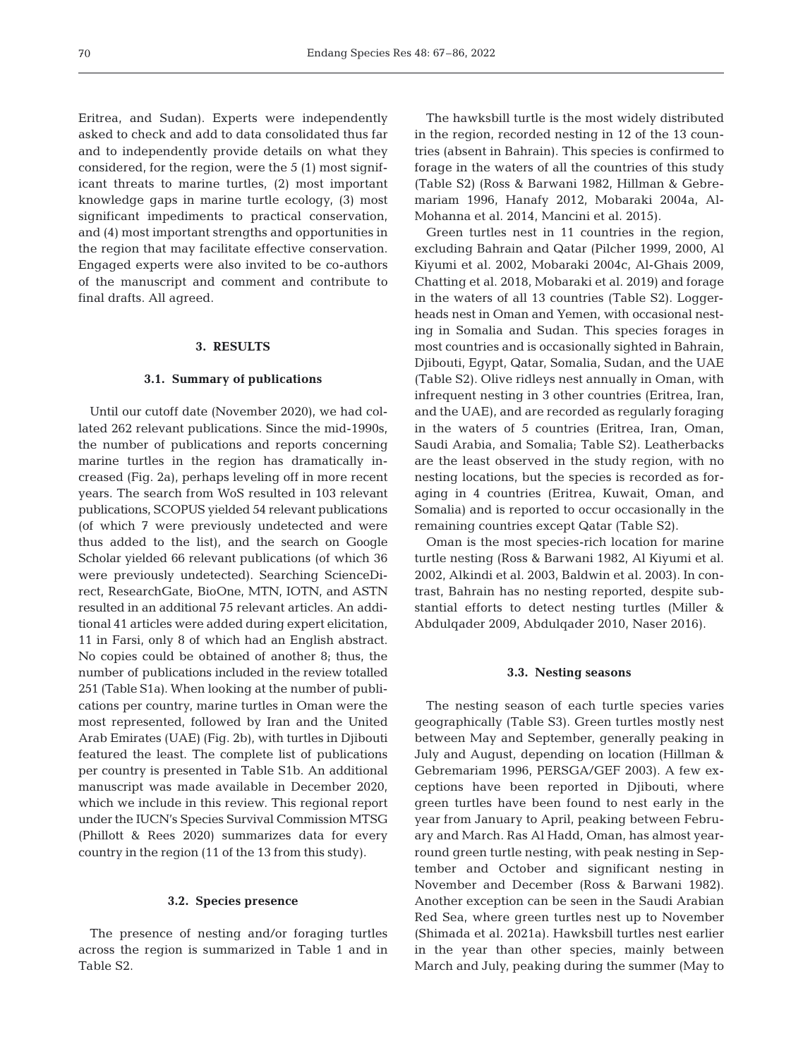Eritrea, and Sudan). Experts were independently asked to check and add to data consolidated thus far and to independently provide details on what they considered, for the region, were the 5 (1) most significant threats to marine turtles, (2) most important knowledge gaps in marine turtle ecology, (3) most significant impediments to practical conservation, and (4) most important strengths and opportunities in the region that may facilitate effective conservation. Engaged experts were also invited to be co-authors of the manuscript and comment and contribute to final drafts. All agreed.

# **3. RESULTS**

#### **3.1. Summary of publications**

Until our cutoff date (November 2020), we had collated 262 relevant publications. Since the mid-1990s, the number of publications and reports concerning marine turtles in the region has dramatically increased (Fig. 2a), perhaps leveling off in more recent years. The search from WoS resulted in 103 relevant publications, SCOPUS yielded 54 relevant publications (of which 7 were previously undetected and were thus added to the list), and the search on Google Scholar yielded 66 relevant publications (of which 36 were previously undetected). Searching ScienceDirect, ResearchGate, BioOne, MTN, IOTN, and ASTN resulted in an additional 75 relevant articles. An additional 41 articles were added during expert elicitation, 11 in Farsi, only 8 of which had an English abstract. No copies could be obtained of another 8; thus, the number of publications included in the review totalled 251 (Table S1a). When looking at the number of publications per country, marine turtles in Oman were the most represented, followed by Iran and the United Arab Emirates (UAE) (Fig. 2b), with turtles in Djibouti featured the least. The complete list of publications per country is presented in Table S1b. An additional manuscript was made available in December 2020, which we include in this review. This regional report under the IUCN's Species Survival Commission MTSG (Phillott & Rees 2020) summarizes data for every country in the region (11 of the 13 from this study).

#### **3.2. Species presence**

The presence of nesting and/or foraging turtles across the region is summarized in Table 1 and in Table S2.

The hawksbill turtle is the most widely distributed in the region, recorded nesting in 12 of the 13 countries (absent in Bahrain). This species is confirmed to forage in the waters of all the countries of this study (Table S2) (Ross & Barwani 1982, Hillman & Gebremariam 1996, Hanafy 2012, Mobaraki 2004a, Al-Mohanna et al. 2014, Mancini et al. 2015).

Green turtles nest in 11 countries in the region, excluding Bahrain and Qatar (Pilcher 1999, 2000, Al Kiyumi et al. 2002, Mobaraki 2004c, Al-Ghais 2009, Chatting et al. 2018, Mobaraki et al. 2019) and forage in the waters of all 13 countries (Table S2). Loggerheads nest in Oman and Yemen, with occasional nesting in Somalia and Sudan. This species forages in most countries and is occasionally sighted in Bahrain, Djibouti, Egypt, Qatar, Somalia, Sudan, and the UAE (Table S2). Olive ridleys nest annually in Oman, with infrequent nesting in 3 other countries (Eritrea, Iran, and the UAE), and are recorded as regularly foraging in the waters of 5 countries (Eritrea, Iran, Oman, Saudi Arabia, and Somalia; Table S2). Leatherbacks are the least observed in the study region, with no nesting locations, but the species is recorded as foraging in 4 countries (Eritrea, Kuwait, Oman, and Somalia) and is reported to occur occasionally in the remaining countries except Qatar (Table S2).

Oman is the most species-rich location for marine turtle nesting (Ross & Barwani 1982, Al Kiyumi et al. 2002, Alkindi et al. 2003, Baldwin et al. 2003). In contrast, Bahrain has no nesting reported, despite substantial efforts to detect nesting turtles (Miller & Abdulqader 2009, Abdulqader 2010, Naser 2016).

#### **3.3. Nesting seasons**

The nesting season of each turtle species varies geographically (Table S3). Green turtles mostly nest between May and September, generally peaking in July and August, depending on location (Hillman & Gebremariam 1996, PERSGA/GEF 2003). A few exceptions have been reported in Djibouti, where green turtles have been found to nest early in the year from January to April, peaking between February and March. Ras Al Hadd, Oman, has almost yearround green turtle nesting, with peak nesting in September and October and significant nesting in November and December (Ross & Barwani 1982). Another exception can be seen in the Saudi Arabian Red Sea, where green turtles nest up to November (Shimada et al. 2021a). Hawksbill turtles nest earlier in the year than other species, mainly between March and July, peaking during the summer (May to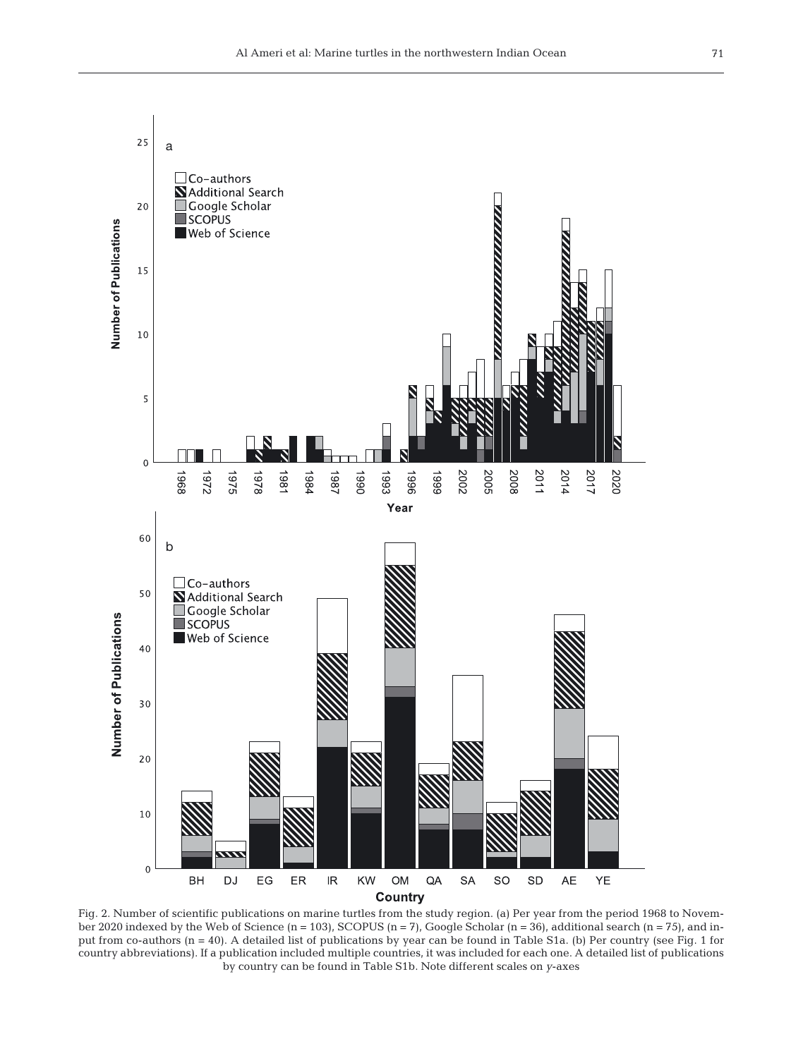

Fig. 2. Number of scientific publications on marine turtles from the study region. (a) Per year from the period 1968 to November 2020 indexed by the Web of Science  $(n = 103)$ , SCOPUS  $(n = 7)$ , Google Scholar  $(n = 36)$ , additional search  $(n = 75)$ , and input from co-authors (n = 40). A detailed list of publications by year can be found in Table S1a. (b) Per country (see Fig. 1 for country abbreviations). If a publication included multiple countries, it was included for each one. A detailed list of publications by country can be found in Table S1b. Note different scales on *y*-axes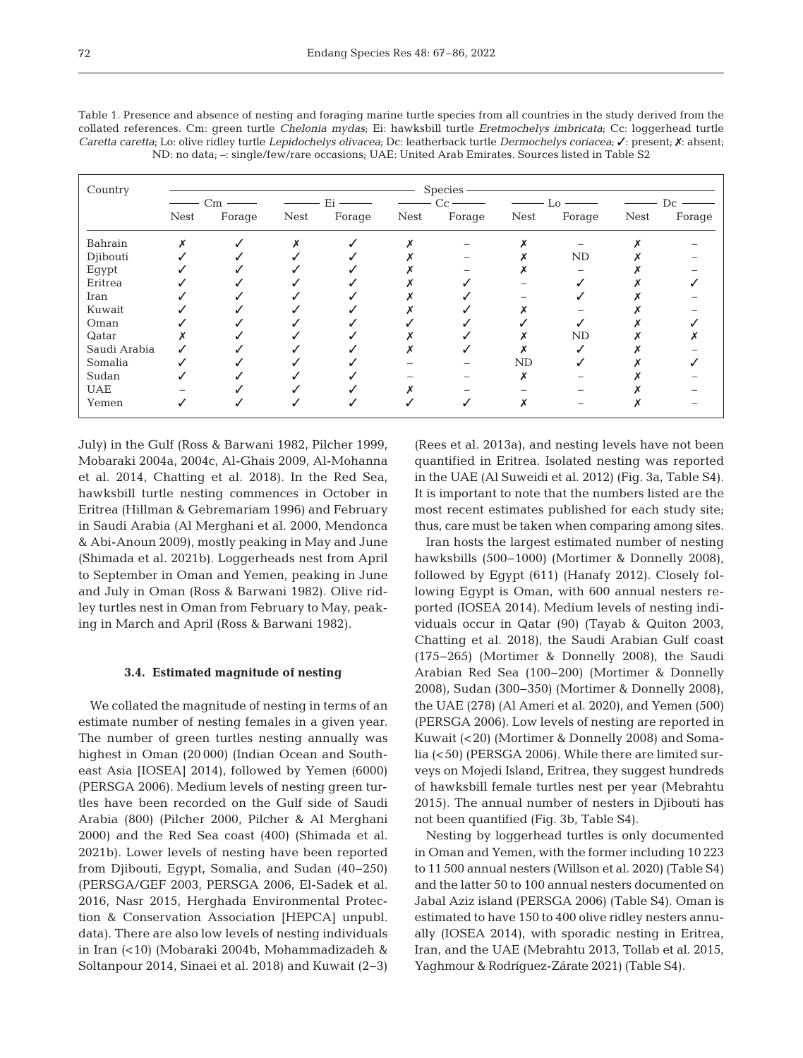| Country      | Species |        |             |        |             |        |             |           |             |        |
|--------------|---------|--------|-------------|--------|-------------|--------|-------------|-----------|-------------|--------|
|              |         |        |             |        |             |        |             |           |             |        |
|              | Nest    | Forage | <b>Nest</b> | Forage | <b>Nest</b> | Forage | <b>Nest</b> | Forage    | <b>Nest</b> | Forage |
| Bahrain      |         |        |             |        |             |        |             |           |             |        |
| Djibouti     |         |        |             |        |             |        |             | ND        |             |        |
| Egypt        |         |        |             |        |             |        |             |           |             |        |
| Eritrea      |         |        |             |        |             |        |             |           |             |        |
| Iran         |         |        |             |        |             |        |             |           |             |        |
| Kuwait       |         |        |             |        |             |        |             |           |             |        |
| Oman         |         |        |             |        |             |        |             |           |             |        |
| Qatar        |         |        |             |        |             |        |             | <b>ND</b> |             |        |
| Saudi Arabia |         |        |             |        |             |        |             |           |             |        |
| Somalia      |         |        |             |        |             |        | ND          |           |             |        |
| Sudan        |         |        |             |        |             |        |             |           |             |        |
| <b>UAE</b>   |         |        |             |        |             |        |             |           |             |        |
| Yemen        |         |        |             |        |             |        |             |           |             |        |

Table 1. Presence and absence of nesting and foraging marine turtle species from all countries in the study derived from the collated references. Cm: green turtle *Chelonia mydas*; Ei: hawksbill turtle *Eretmochelys imbricata*; Cc: loggerhead turtle *Caretta caretta*; Lo: olive ridley turtle *Lepidochelys olivacea*; Dc: leatherback turtle *Dermochelys coriacea*; ✓: present; ✗: absent; ND: no data; –: single/few/rare occasions; UAE: United Arab Emirates. Sources listed in Table S2

July) in the Gulf (Ross & Barwani 1982, Pilcher 1999, Mobaraki 2004a, 2004c, Al-Ghais 2009, Al-Mohanna et al. 2014, Chatting et al. 2018). In the Red Sea, hawksbill turtle nesting commences in October in Eritrea (Hillman & Gebremariam 1996) and February in Saudi Arabia (Al Merghani et al. 2000, Mendonca & Abi-Anoun 2009), mostly peaking in May and June (Shimada et al. 2021b). Loggerheads nest from April to September in Oman and Yemen, peaking in June and July in Oman (Ross & Barwani 1982). Olive ridley turtles nest in Oman from February to May, peaking in March and April (Ross & Barwani 1982).

#### **3.4. Estimated magnitude of nesting**

We collated the magnitude of nesting in terms of an estimate number of nesting females in a given year. The number of green turtles nesting annually was highest in Oman (20 000) (Indian Ocean and Southeast Asia [IOSEA] 2014), followed by Yemen (6000) (PERSGA 2006). Medium levels of nesting green turtles have been recorded on the Gulf side of Saudi Arabia (800) (Pilcher 2000, Pilcher & Al Merghani 2000) and the Red Sea coast (400) (Shimada et al. 2021b). Lower levels of nesting have been reported from Djibouti, Egypt, Somalia, and Sudan (40−250) (PERSGA/GEF 2003, PERSGA 2006, El-Sadek et al. 2016, Nasr 2015, Herghada Environmental Protection & Conservation Association [HEPCA] unpubl. data). There are also low levels of nesting individuals in Iran (<10) (Mobaraki 2004b, Mohammadizadeh & Soltanpour 2014, Sinaei et al. 2018) and Kuwait (2−3) (Rees et al. 2013a), and nesting levels have not been quantified in Eritrea. Isolated nesting was reported in the UAE (Al Suweidi et al. 2012) (Fig. 3a, Table S4). It is im portant to note that the numbers listed are the most recent estimates published for each study site; thus, care must be taken when comparing among sites.

Iran hosts the largest estimated number of nesting hawksbills (500−1000) (Mortimer & Donnelly 2008), followed by Egypt (611) (Hanafy 2012). Closely following Egypt is Oman, with 600 annual nesters reported (IOSEA 2014). Medium levels of nesting individuals occur in Qatar (90) (Tayab & Quiton 2003, Chatting et al. 2018), the Saudi Arabian Gulf coast (175−265) (Mortimer & Donnelly 2008), the Saudi Arabian Red Sea (100−200) (Mortimer & Donnelly 2008), Sudan (300−350) (Mortimer & Donnelly 2008), the UAE (278) (Al Ameri et al. 2020), and Yemen (500) (PERSGA 2006). Low levels of nesting are reported in Kuwait (<20) (Mortimer & Donnelly 2008) and Somalia (<50) (PERSGA 2006). While there are limited surveys on Mojedi Island, Eritrea, they suggest hundreds of hawksbill female turtles nest per year (Mebrahtu 2015). The annual number of nesters in Djibouti has not been quantified (Fig. 3b, Table S4).

Nesting by loggerhead turtles is only documented in Oman and Yemen, with the former including 10 223 to 11 500 annual nesters (Willson et al. 2020) (Table S4) and the latter 50 to 100 annual nesters documented on Jabal Aziz island (PERSGA 2006) (Table S4). Oman is estimated to have 150 to 400 olive ridley nesters annually (IOSEA 2014), with sporadic nesting in Eritrea, Iran, and the UAE (Mebrahtu 2013, Tollab et al. 2015, Yaghmour & Rodríguez-Zárate 2021) (Table S4).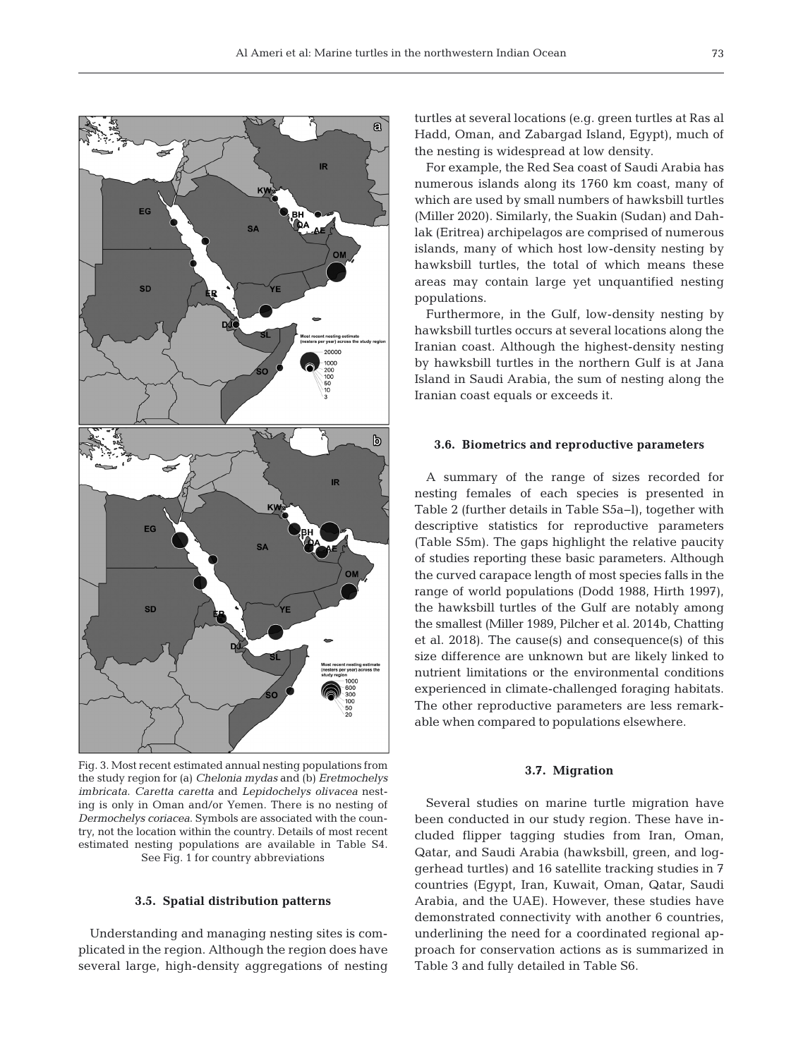

Fig. 3. Most recent estimated annual nesting populations from the study region for (a) *Chelonia mydas* and (b) *Eretmochelys imbricata*. *Caretta caretta* and *Lepidochelys olivacea* nesting is only in Oman and/or Yemen. There is no nesting of *Dermochelys coriacea*. Symbols are associated with the country, not the location within the country. Details of most recent estimated nesting populations are available in Table S4. See Fig. 1 for country abbreviations

#### **3.5. Spatial distribution patterns**

Understanding and managing nesting sites is complicated in the region. Although the region does have several large, high-density aggregations of nesting turtles at several locations (e.g. green turtles at Ras al Hadd, Oman, and Zabargad Island, Egypt), much of the nesting is widespread at low density.

For example, the Red Sea coast of Saudi Arabia has numerous islands along its 1760 km coast, many of which are used by small numbers of hawksbill turtles (Miller 2020). Similarly, the Suakin (Sudan) and Dahlak (Eritrea) archipelagos are comprised of numerous islands, many of which host low-density nesting by hawksbill turtles, the total of which means these areas may contain large yet unquantified nesting populations.

Furthermore, in the Gulf, low-density nesting by hawksbill turtles occurs at several locations along the Iranian coast. Although the highest-density nesting by hawksbill turtles in the northern Gulf is at Jana Island in Saudi Arabia, the sum of nesting along the Iranian coast equals or exceeds it.

#### **3.6. Biometrics and reproductive parameters**

A summary of the range of sizes recorded for nesting females of each species is presented in Table 2 (further details in Table S5a−l), together with descriptive statistics for reproductive parameters (Table S5m). The gaps highlight the relative paucity of studies reporting these basic parameters. Although the curved carapace length of most species falls in the range of world populations (Dodd 1988, Hirth 1997), the hawksbill turtles of the Gulf are notably among the smallest (Miller 1989, Pilcher et al. 2014b, Chatting et al. 2018). The cause(s) and consequence(s) of this size difference are unknown but are likely linked to nutrient limitations or the environmental conditions experienced in climate-challenged foraging habitats. The other reproductive parameters are less remarkable when compared to populations elsewhere.

#### **3.7. Migration**

Several studies on marine turtle migration have been conducted in our study region. These have included flipper tagging studies from Iran, Oman, Qatar, and Saudi Arabia (hawksbill, green, and loggerhead turtles) and 16 satellite tracking studies in 7 countries (Egypt, Iran, Kuwait, Oman, Qatar, Saudi Arabia, and the UAE). However, these studies have demonstrated connectivity with another 6 countries, underlining the need for a coordinated regional approach for conservation actions as is summarized in Table 3 and fully detailed in Table S6.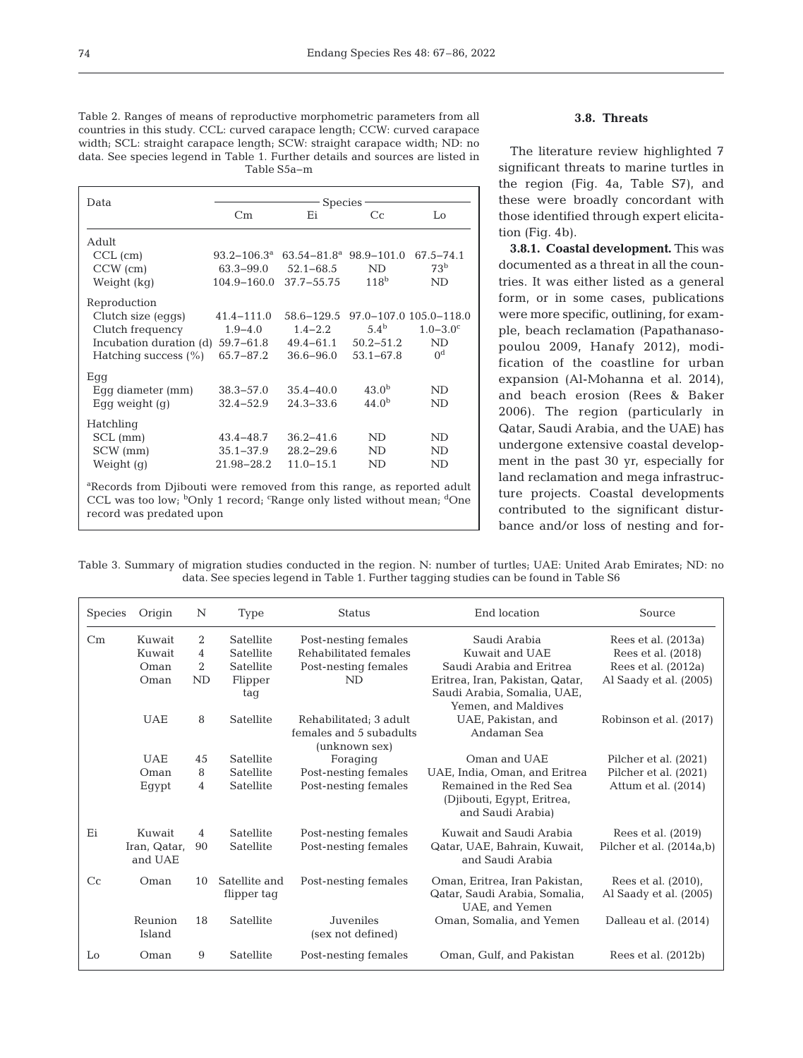Table 2. Ranges of means of reproductive morphometric parameters from all countries in this study. CCL: curved carapace length; CCW: curved carapace width; SCL: straight carapace length; SCW: straight carapace width; ND: no data. See species legend in Table 1. Further details and sources are listed in Table S5a−m

| Data                                                                                                                                                                                                                         | <b>Species</b>            |                             |                   |                          |  |  |  |
|------------------------------------------------------------------------------------------------------------------------------------------------------------------------------------------------------------------------------|---------------------------|-----------------------------|-------------------|--------------------------|--|--|--|
|                                                                                                                                                                                                                              | Cm                        | Ei                          | $C_{\rm C}$       | Lo                       |  |  |  |
| Adult                                                                                                                                                                                                                        |                           |                             |                   |                          |  |  |  |
| $CCL$ (cm)                                                                                                                                                                                                                   | $93.2 - 106.3^{\text{a}}$ | $63.54 - 81.8^a$ 98.9-101.0 |                   | 67.5-74.1                |  |  |  |
| $CCW$ (cm)                                                                                                                                                                                                                   | 63.3–99.0                 | $52.1 - 68.5$               | <b>ND</b>         | 73 <sup>b</sup>          |  |  |  |
| Weight (kg)                                                                                                                                                                                                                  | $104.9 - 160.0$           | $37.7 - 55.75$              | 118 <sup>b</sup>  | ND                       |  |  |  |
| Reproduction                                                                                                                                                                                                                 |                           |                             |                   |                          |  |  |  |
| Clutch size (eggs)                                                                                                                                                                                                           | $41.4 - 111.0$            | 58.6-129.5                  |                   | 97.0-107.0 105.0-118.0   |  |  |  |
| Clutch frequency                                                                                                                                                                                                             | $1.9 - 4.0$               | $1.4 - 2.2$                 | 5.4 <sup>b</sup>  | $1.0 - 3.0$ <sup>c</sup> |  |  |  |
| Incubation duration (d)                                                                                                                                                                                                      | 59.7-61.8                 | $49.4 - 61.1$               | $50.2 - 51.2$     | ND.                      |  |  |  |
| Hatching success $(\% )$                                                                                                                                                                                                     | 65.7-87.2                 | $36.6 - 96.0$               | $53.1 - 67.8$     | 0 <sup>d</sup>           |  |  |  |
| Egg                                                                                                                                                                                                                          |                           |                             |                   |                          |  |  |  |
| Eqq diameter (mm)                                                                                                                                                                                                            | $38.3 - 57.0$             | $35.4 - 40.0$               | $43.0^{b}$        | ND                       |  |  |  |
| Eqq weight $(q)$                                                                                                                                                                                                             | $32.4 - 52.9$             | $24.3 - 33.6$               | 44.0 <sup>b</sup> | <b>ND</b>                |  |  |  |
| Hatchling                                                                                                                                                                                                                    |                           |                             |                   |                          |  |  |  |
| $SCL$ (mm)                                                                                                                                                                                                                   | $43.4 - 48.7$             | $36.2 - 41.6$               | ND                | <b>ND</b>                |  |  |  |
| SCW (mm)                                                                                                                                                                                                                     | $35.1 - 37.9$             | $28.2 - 29.6$               | ND                | ND                       |  |  |  |
| Weight $(q)$                                                                                                                                                                                                                 | 21.98-28.2                | $11.0 - 15.1$               | ND                | ND                       |  |  |  |
| <sup>a</sup> Records from Djibouti were removed from this range, as reported adult<br>CCL was too low; <sup>b</sup> Only 1 record; <sup>c</sup> Range only listed without mean; <sup>d</sup> One<br>record was predated upon |                           |                             |                   |                          |  |  |  |

# **3.8. Threats**

The literature review highlighted 7 significant threats to marine turtles in the region (Fig. 4a, Table S7), and these were broadly concordant with those identified through expert elicitation (Fig. 4b).

**3.8.1. Coastal development.** This was documented as a threat in all the countries. It was either listed as a general form, or in some cases, publications were more specific, outlining, for example, beach reclamation (Papathanasopoulou 2009, Hanafy 2012), modification of the coastline for urban ex pansion (Al-Mohanna et al. 2014), and beach erosion (Rees & Baker 2006). The region (particularly in Qatar, Saudi Arabia, and the UAE) has undergone extensive coastal development in the past 30 yr, especially for land reclamation and mega infrastructure projects. Coastal developments contributed to the significant disturbance and/or loss of nesting and for-

Table 3. Summary of migration studies conducted in the region. N: number of turtles; UAE: United Arab Emirates; ND: no data. See species legend in Table 1. Further tagging studies can be found in Table S6

| Species        | Origin                            | N                              | Type                                           | <b>Status</b>                                                               | End location                                                                                                                | Source                                                                                       |
|----------------|-----------------------------------|--------------------------------|------------------------------------------------|-----------------------------------------------------------------------------|-----------------------------------------------------------------------------------------------------------------------------|----------------------------------------------------------------------------------------------|
| Cm             | Kuwait<br>Kuwait<br>Oman<br>Oman  | 2<br>4<br>$\overline{2}$<br>ND | Satellite<br>Satellite<br>Satellite<br>Flipper | Post-nesting females<br>Rehabilitated females<br>Post-nesting females<br>ND | Saudi Arabia<br>Kuwait and UAE<br>Saudi Arabia and Eritrea<br>Eritrea, Iran, Pakistan, Qatar,                               | Rees et al. (2013a)<br>Rees et al. (2018)<br>Rees et al. $(2012a)$<br>Al Saady et al. (2005) |
|                | <b>UAE</b>                        | 8                              | tag<br>Satellite                               | Rehabilitated; 3 adult<br>females and 5 subadults<br>(unknown sex)          | Saudi Arabia, Somalia, UAE,<br>Yemen, and Maldives<br>UAE, Pakistan, and<br>Andaman Sea                                     | Robinson et al. (2017)                                                                       |
|                | <b>UAE</b><br>Oman<br>Egypt       | 45<br>8<br>$\overline{4}$      | Satellite<br>Satellite<br>Satellite            | Foraging<br>Post-nesting females<br>Post-nesting females                    | Oman and UAE<br>UAE, India, Oman, and Eritrea<br>Remained in the Red Sea<br>(Djibouti, Egypt, Eritrea,<br>and Saudi Arabia) | Pilcher et al. (2021)<br>Pilcher et al. (2021)<br>Attum et al. $(2014)$                      |
| Ei             | Kuwait<br>Iran, Qatar,<br>and UAE | 4<br>90                        | Satellite<br>Satellite                         | Post-nesting females<br>Post-nesting females                                | Kuwait and Saudi Arabia<br>Qatar, UAE, Bahrain, Kuwait,<br>and Saudi Arabia                                                 | Rees et al. (2019)<br>Pilcher et al. (2014a,b)                                               |
| C <sub>C</sub> | Oman                              | 10                             | Satellite and<br>flipper tag                   | Post-nesting females                                                        | Oman, Eritrea, Iran Pakistan,<br>Qatar, Saudi Arabia, Somalia,<br>UAE, and Yemen                                            | Rees et al. (2010),<br>Al Saady et al. (2005)                                                |
|                | Reunion<br>Island                 | 18                             | Satellite                                      | Juveniles<br>(sex not defined)                                              | Oman, Somalia, and Yemen                                                                                                    | Dalleau et al. (2014)                                                                        |
| Lo             | Oman                              | 9                              | Satellite                                      | Post-nesting females                                                        | Oman, Gulf, and Pakistan                                                                                                    | Rees et al. (2012b)                                                                          |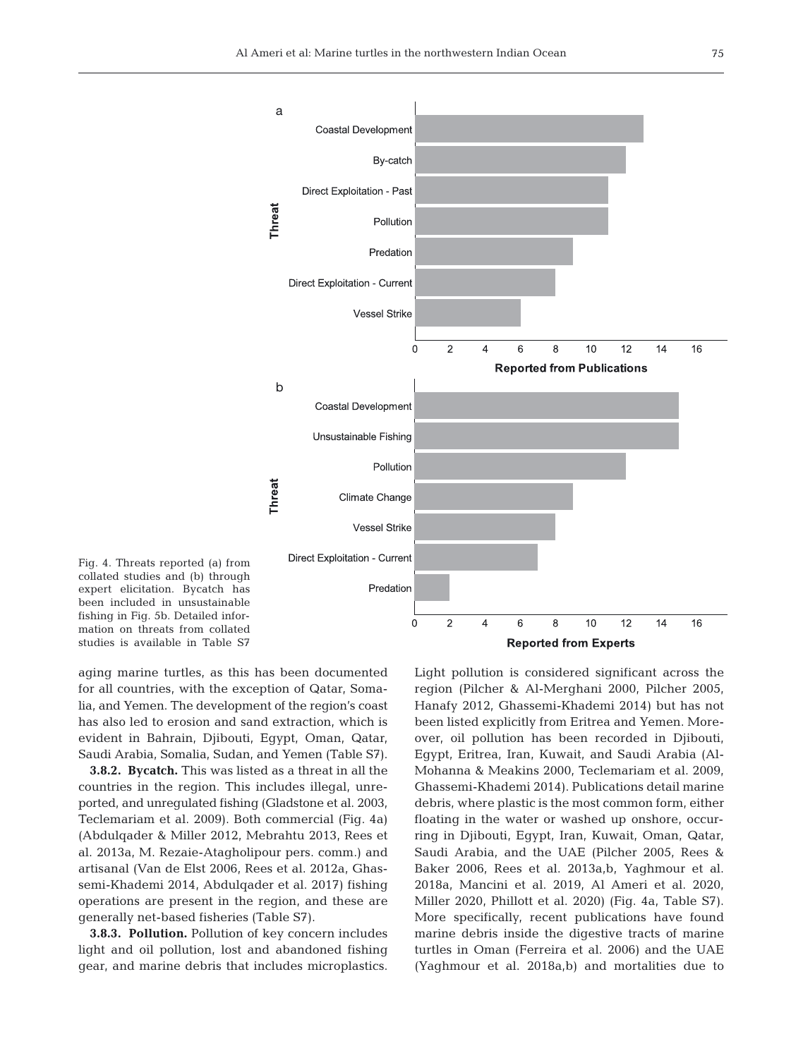

Fig. 4. Threats reported (a) from collated studies and (b) through expert elicitation. Bycatch has been included in unsustainable fishing in Fig. 5b. Detailed information on threats from collated studies is available in Table S7

aging marine turtles, as this has been documented for all countries, with the exception of Qatar, Somalia, and Yemen. The development of the region's coast has also led to erosion and sand extraction, which is evident in Bahrain, Djibouti, Egypt, Oman, Qatar, Saudi Arabia, Somalia, Sudan, and Yemen (Table S7).

**3.8.2. Bycatch.** This was listed as a threat in all the countries in the region. This includes illegal, unreported, and unregulated fishing (Gladstone et al. 2003, Teclemariam et al. 2009). Both commercial (Fig. 4a) (Abdulqader & Miller 2012, Mebrahtu 2013, Rees et al. 2013a, M. Rezaie-Atagholipour pers. comm.) and artisanal (Van de Elst 2006, Rees et al. 2012a, Ghassemi-Khademi 2014, Abdulqader et al. 2017) fishing operations are present in the region, and these are generally net-based fisheries (Table S7).

**3.8.3. Pollution.** Pollution of key concern includes light and oil pollution, lost and abandoned fishing gear, and marine debris that includes microplastics. Light pollution is considered significant across the region (Pilcher & Al-Merghani 2000, Pilcher 2005, Hanafy 2012, Ghassemi-Khademi 2014) but has not been listed explicitly from Eritrea and Yemen. Moreover, oil pollution has been recorded in Djibouti, Egypt, Eritrea, Iran, Kuwait, and Saudi Arabia (Al-Mohanna & Meakins 2000, Teclemariam et al. 2009, Ghassemi-Khademi 2014). Publications detail marine debris, where plastic is the most common form, either floating in the water or washed up onshore, occurring in Djibouti, Egypt, Iran, Kuwait, Oman, Qatar, Saudi Arabia, and the UAE (Pilcher 2005, Rees & Baker 2006, Rees et al. 2013a,b, Yaghmour et al. 2018a, Mancini et al. 2019, Al Ameri et al. 2020, Miller 2020, Phillott et al. 2020) (Fig. 4a, Table S7). More specifically, recent publications have found marine debris inside the digestive tracts of marine turtles in Oman (Ferreira et al. 2006) and the UAE (Yaghmour et al. 2018a,b) and mortalities due to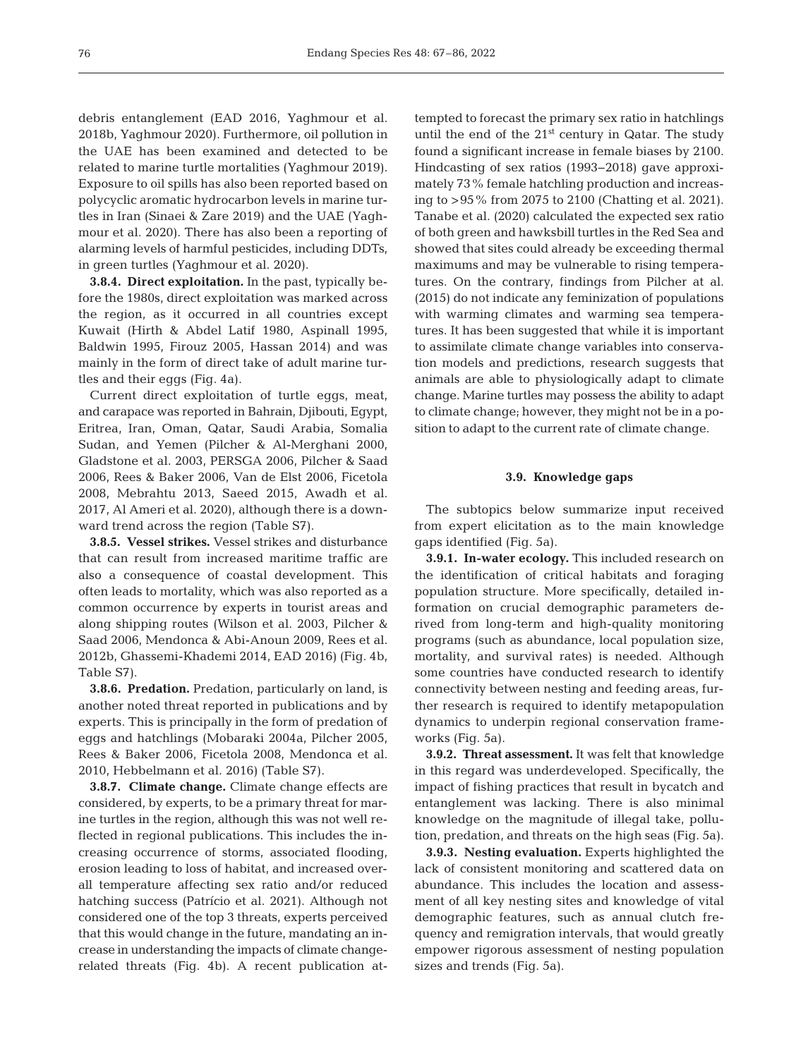debris entanglement (EAD 2016, Yaghmour et al. 2018b, Yaghmour 2020). Furthermore, oil pollution in the UAE has been examined and detected to be related to marine turtle mortalities (Yaghmour 2019). Exposure to oil spills has also been reported based on polycyclic aromatic hydrocarbon levels in marine turtles in Iran (Sinaei & Zare 2019) and the UAE (Yaghmour et al. 2020). There has also been a reporting of alarming levels of harmful pesticides, including DDTs, in green turtles (Yaghmour et al. 2020).

**3.8.4. Direct exploitation.** In the past, typically be fore the 1980s, direct exploitation was marked across the region, as it occurred in all countries except Kuwait (Hirth & Abdel Latif 1980, Aspinall 1995, Baldwin 1995, Firouz 2005, Hassan 2014) and was mainly in the form of direct take of adult marine turtles and their eggs (Fig. 4a).

Current direct exploitation of turtle eggs, meat, and carapace was reported in Bahrain, Djibouti, Egypt, Eritrea, Iran, Oman, Qatar, Saudi Arabia, Somalia Sudan, and Yemen (Pilcher & Al-Merghani 2000, Gladstone et al. 2003, PERSGA 2006, Pilcher & Saad 2006, Rees & Baker 2006, Van de Elst 2006, Ficetola 2008, Mebrahtu 2013, Saeed 2015, Awadh et al. 2017, Al Ameri et al. 2020), although there is a downward trend across the region (Table S7).

**3.8.5. Vessel strikes.** Vessel strikes and disturbance that can result from increased maritime traffic are also a consequence of coastal development. This often leads to mortality, which was also reported as a common occurrence by experts in tourist areas and along shipping routes (Wilson et al. 2003, Pilcher & Saad 2006, Mendonca & Abi-Anoun 2009, Rees et al. 2012b, Ghassemi-Khademi 2014, EAD 2016) (Fig. 4b, Table S7).

**3.8.6. Predation.** Predation, particularly on land, is another noted threat reported in publications and by experts. This is principally in the form of predation of eggs and hatchlings (Mobaraki 2004a, Pilcher 2005, Rees & Baker 2006, Ficetola 2008, Mendonca et al. 2010, Hebbelmann et al. 2016) (Table S7).

**3.8.7. Climate change.** Climate change effects are considered, by experts, to be a primary threat for marine turtles in the region, although this was not well reflected in regional publications. This includes the increasing occurrence of storms, associated flooding, erosion leading to loss of habitat, and increased overall temperature affecting sex ratio and/or reduced hatching success (Patrício et al. 2021). Although not considered one of the top 3 threats, experts perceived that this would change in the future, mandating an increase in understanding the impacts of climate changerelated threats (Fig. 4b). A recent publication attempted to forecast the primary sex ratio in hatchlings until the end of the 21<sup>st</sup> century in Qatar. The study found a significant increase in female biases by 2100. Hindcasting of sex ratios (1993−2018) gave approximately 73% female hatchling production and increasing to >95% from 2075 to 2100 (Chatting et al. 2021). Tanabe et al. (2020) calculated the expected sex ratio of both green and hawksbill turtles in the Red Sea and showed that sites could already be exceeding thermal maximums and may be vulnerable to rising temperatures. On the contrary, findings from Pilcher at al. (2015) do not indicate any feminization of populations with warming climates and warming sea temperatures. It has been suggested that while it is important to assimilate climate change variables into conservation models and predictions, research suggests that animals are able to physiologically adapt to climate change. Marine turtles may possess the ability to adapt to climate change; however, they might not be in a position to adapt to the current rate of climate change.

# **3.9. Knowledge gaps**

The subtopics below summarize input received from expert elicitation as to the main knowledge gaps identified (Fig. 5a).

**3.9.1. In-water ecology.** This included research on the identification of critical habitats and foraging population structure. More specifically, detailed information on crucial demographic parameters de rived from long-term and high-quality monitoring programs (such as abundance, local population size, mortality, and survival rates) is needed. Although some countries have conducted research to identify connectivity between nesting and feeding areas, further research is required to identify metapopulation dynamics to underpin regional conservation frameworks (Fig. 5a).

**3.9.2. Threat assessment.** It was felt that knowledge in this regard was underdeveloped. Specifically, the impact of fishing practices that result in bycatch and entanglement was lacking. There is also minimal knowledge on the magnitude of illegal take, pollution, predation, and threats on the high seas (Fig. 5a).

**3.9.3. Nesting evaluation.** Experts highlighted the lack of consistent monitoring and scattered data on abundance. This includes the location and assessment of all key nesting sites and knowledge of vital demographic features, such as annual clutch frequency and remigration intervals, that would greatly empower rigorous assessment of nesting population sizes and trends (Fig. 5a).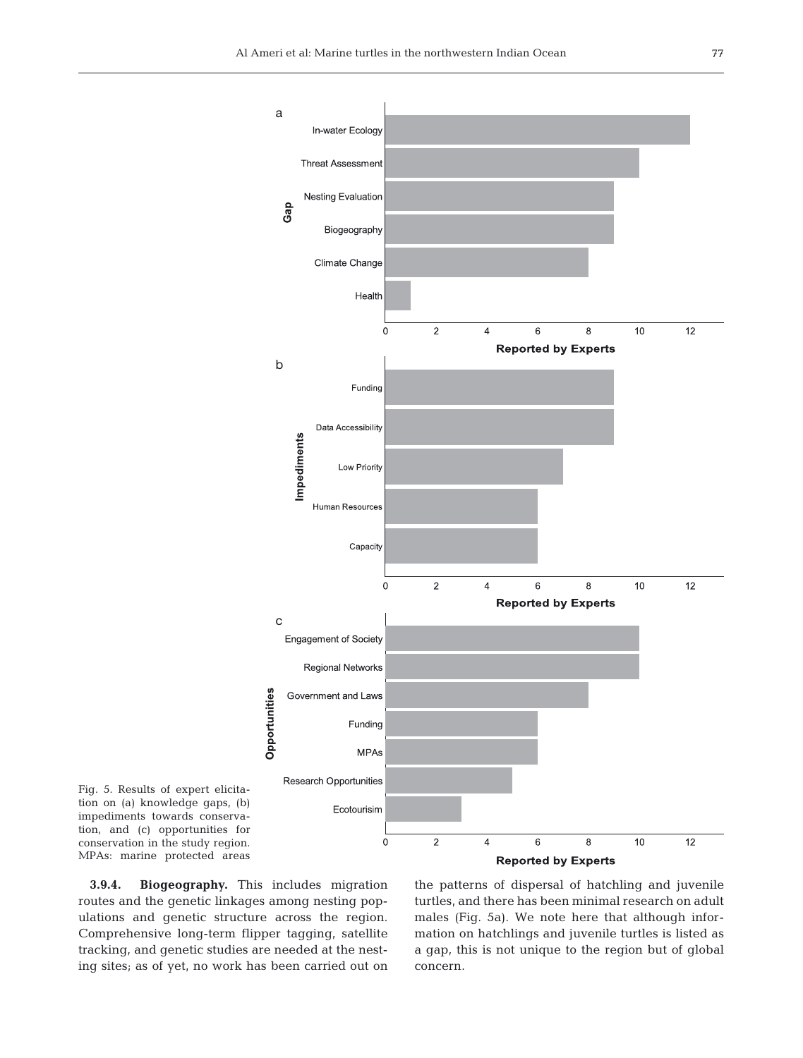

Fig. 5. Results of expert elicitation on (a) knowledge gaps, (b) impediments towards conservation, and (c) opportunities for conservation in the study region. MPAs: marine protected areas

**3.9.4. Biogeography.** This includes migration routes and the genetic linkages among nesting populations and genetic structure across the region. Comprehensive long-term flipper tagging, satellite tracking, and genetic studies are needed at the nesting sites; as of yet, no work has been carried out on

the patterns of dispersal of hatchling and juvenile turtles, and there has been minimal research on adult males (Fig. 5a). We note here that although information on hatchlings and juvenile turtles is listed as a gap, this is not unique to the region but of global concern.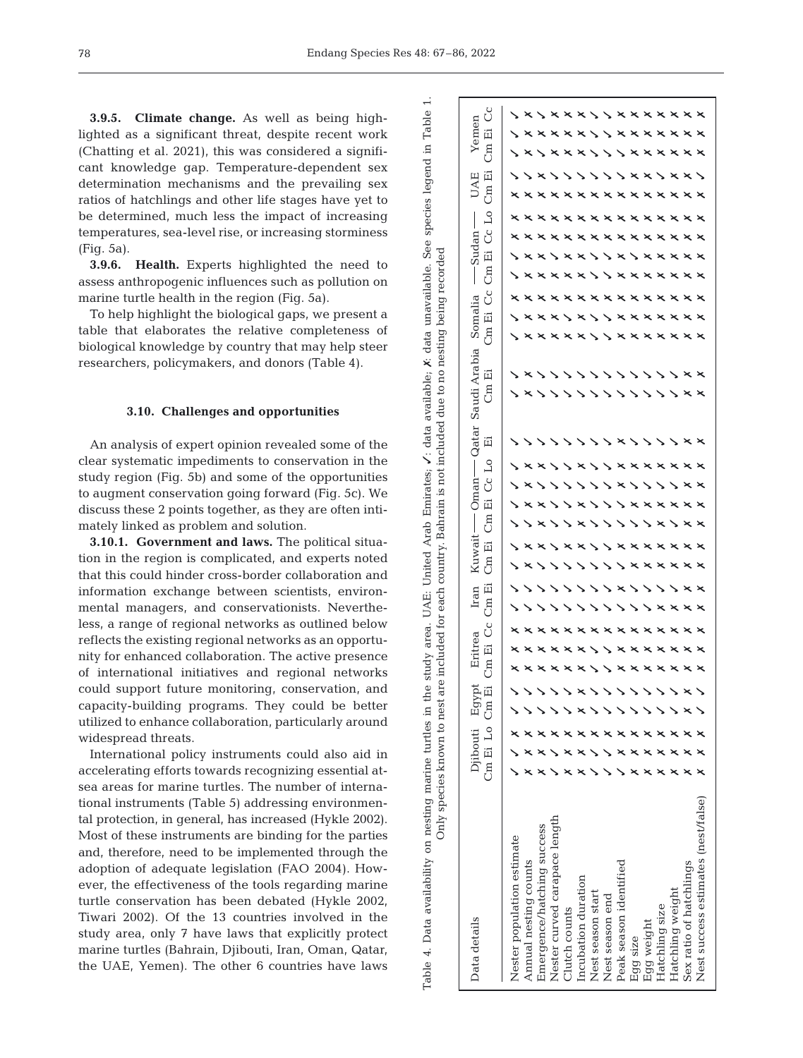Table 4. Data availability on nesting marine turtles in the study area. UAE: United Arab Emirates;

✓: data available;

Table 4. Data availability on nesting marine turtles in the study area. UAE: United Arab Emirates,  $\chi$ : data available,  $\chi$ : data unavailable. See species legend

✗: data unavailable. See species legend in Table 1.

 $\ddot{ }$ 

Table

 $\Xi$ 

**3.9.5. Climate change.** As well as being highlighted as a significant threat, despite recent work (Chatting et al. 2021), this was considered a significant knowledge gap. Temperature-dependent sex determination mechanisms and the prevailing sex ratios of hatchlings and other life stages have yet to be determined, much less the impact of increasing temperatures, sea-level rise, or increasing storminess (Fig. 5a).

**3.9.6. Health.** Experts highlighted the need to assess anthropogenic influences such as pollution on marine turtle health in the region (Fig. 5a).

To help highlight the biological gaps, we present a table that elaborates the relative completeness of biological knowledge by country that may help steer researchers, policymakers, and donors (Table 4).

#### **3.10. Challenges and opportunities**

An analysis of expert opinion revealed some of the clear systematic impediments to conservation in the study region (Fig. 5b) and some of the opportunities to augment conservation going forward (Fig. 5c). We discuss these 2 points together, as they are often intimately linked as problem and solution.

**3.10.1. Government and laws.** The political situation in the region is complicated, and experts noted that this could hinder cross-border collaboration and information exchange between scientists, environmental managers, and conservationists. Nevertheless, a range of regional networks as outlined below reflects the existing regional networks as an opportunity for enhanced collaboration. The active presence of international initiatives and regional networks could support future monitoring, conservation, and capacity-building programs. They could be better utilized to enhance collaboration, particularly around widespread threats.

International policy instruments could also aid in accelerating efforts towards recognizing essential atsea areas for marine turtles. The number of international instruments (Table 5) addressing environmental protection, in general, has increased (Hykle 2002). Most of these instruments are binding for the parties and, therefore, need to be implemented through the adoption of adequate legislation (FAO 2004). However, the effectiveness of the tools regarding marine turtle conservation has been debated (Hykle 2002, Tiwari 2002). Of the 13 countries involved in the study area, only 7 have laws that explicitly protect marine turtles (Bahrain, Djibouti, Iran, Oman, Qatar, the UAE, Yemen). The other 6 countries have laws

V)记号)记号(Pi Cm Ei Co Ci 记号) 记号) 记号(Pi 记号) 记号)记号(Pi 记号)记号(Pi 记号) ර Yemen Data details <sup>194</sup> Djibouti Egypt Eritrea Iran Kuwait Oman Qatar Saudi Arabia Somalia ---- Sudan --- UAE Yemen ✓✗ ✓ ✗ ✗ ✗ ✓ ✓ ✗ ✗ ✗ ✗ ✗ ✗ ✓ ✗ ✗ ✓ ✗ 词 ✓✓ ✗ ✗ ✓ ✗ ✗ ✓ ✗ ✗ ✓ ✗ ✗ ✓✓✓ ✗ ✗ ✗ ✗ ✗ ✗ ✗ ✗ ✗ ✗ ✗ ✗ ✗ ✓ ✗ ✗ ✗ ✗ ✗ ✗ ✗ ✗ ✗ ✗ ✗ ✗ ✗ ✗ ✗ ✗ ✓ ✗ ✗  $Cm$ ✓✓ ✓ UAE<br>Im Ei ✓✗ ✗ ✗ ✓✓✓ $Cm$ ✗ ✗ ✗ ✗ ✓ ✗ ✗ ✗ ✗ ✗ ✗ ✗ ✗ ✗ ✗ ✗ ✓ ✗ ✗ ✗ ✓ ✗ ✗ ✗ ✗ ✗ ✗ ✗ ✗ ✗ ✗ ✗ ✗ ✗ ✗ ✗ x x x x x x x x x x x x  $\overline{\mathsf{L}}$  0 **xxxxxxxxxxxx**  $-$ Sudan $-$ Cc **xxxxxxxxxxxx** ✗ ✗ Only species known to nest are included for each country. Bahrain is not included due to no nesting being recorded Only species known to nest are included for each country. Bahrain is not included due to no nesting being recorded词 **Sxsxxxxx**  $\times$ ✓✗ ✗  $C_{\rm HI}$ ✓✗ ✗ ✗ ✗ ✗ ✓✓✗ ✗ ✗ ✗ ✗ ✗ ✗  $C<sup>C</sup>$ Somalia ✗ ✗ ✗ ✗ ✗ ✓ ✗ ✓ ✗ ✗ ✗ ✗ ✗ ✗ ✗ ✗ ✗ ✗ ✗ ✗ ✗ ✗ ✗ ✓ ✗  $\tilde{\Xi}$  $\geq$  $\checkmark$ ✗  $\overline{5}$ ✓✓✓✗ ✗ ✗ ✗ ✗ ✗ ✗ ✗ ✗ ✗ ✗ ✗ Saudi Arabia 词 ✓ ✗ ✓ ✓ ✓ ✓ ✓ ✓ ✓ ✓ ✓ ✓ ✓ ✗ ✗  $\tilde{E}$ ✓✓✓ ✓ ✓ ✓ ✓ ✓ ✓ ✓ ✓ ✓ ✗ ✗ ✗  $-$ Oman $-$ Qatar 闰 ✓✓✓✓✓✓✓✓✗ ✓✓✓✓✗ ✗  $\overline{\mathsf{L}}$ ✓✓✓✗ ✓✓✗ ✗ ✗ ✗ ✗ ✗ ✗ ✗ ✗ Cc ✓✓✗ ✓✓✓✓✓✗ ✓✓✓✓✗ ✗ 词 ✓✗ ✗ ✓✓✗ ✓✓✓✗ ✗ ✗ ✗ ✗ ✗  $\tilde{E}$ ✓✓✓✓✗ ✓✓✓✓✓✗ ✓✗ ✗ ✗ Kuwait-<br>Cm Ei ( ✓✗ ✗ ✓✗ ✗ ✓✓✗ ✗ ✗ ✗ ✗ ✗ ✗ ✓✓✓ ✓ ✓ ✓ ✓ ✓ ✗ ✗ ✗ ✗ ✗ ✗ ✗  $\begin{array}{c} \text{Iran} \\ \text{Im} \; \text{Ei} \end{array}$ ✓✓✓✓✓ ✓ ✓ ✓ ✗ ✓ ✓ ✓ ✓ ✗ ✗  $Cm$  I ✓✓✓✓✓ ✓ ✓ ✓ ✓ ✓ ✓ ✗ ✗ ✗ ✗ Eritrea<br>Im Ei Cc ✗ ✗ ✗ ✗ ✗ ✗ ✗ ✗ ✗ ✗ ✗ ✗ ✗ ✗ ✗ ✗ ✗ ✓✓✗ ✗ ✗ ✗ ✗ ✗ ✗ ✗ ✗ ✗ ✗  $\overline{5}$ ✗ ✗ ✗ ✗ ✗ ✗ ✓ ✓ ✗ ✗ ✗ ✗ ✗ ✗ ✗  $\mathop{\rm Eg}\nolimits_{\mathop{\rm Ei}\nolimits}$ ✓✓✓✓✓✗ ✓✓✓✓✓✓✓✗ ✓✓✓✓✓✓ ✗ ✓ ✓ ✓ ✓ ✓ ✓ ✓ ✗ ✓  $\begin{tabular}{ll} \multicolumn{2}{l}{{\footnotesize\mbox{D}}}\text{ibout} \\ \multicolumn{2}{l}{\complement} & \multicolumn{2}{l}{\complement} & \multicolumn{2}{l}{\complement} \\ \multicolumn{2}{l}{\complement} & \multicolumn{2}{l}{\complement} & \multicolumn{2}{l}{\complement} \\ \multicolumn{2}{l}{\complement} & \multicolumn{2}{l}{\complement} & \multicolumn{2}{l}{\complement} \\ \multicolumn{2}{l}{\complement} & \multicolumn{2}{l}{\complement} & \multicolumn{2}{l}{\complement} \\ \multicolumn{2}{l}{\complement} & \multic$ ✓ ✗ ✗ ✗ ✗ ✗ ✓ ✗ ✗ ✗ ✗ ✗ ✓ ✗ ✓ ✗ ✗ ✗ ✗ ✗ ✗ ✗ ✗ ✗ ✗ ✗ ✗ ✗ ✗ ✗ ✓✓✓✗ ✗ ✓✗ ✗ ✓✗ ✗ ✗ ✗ ✗ ✗ Nest success estimates (nest/false) Nest success estimates (nest/false) Nester curved carapace length Nester curved carapace length Emergence/hatching success Emergence/hatching success Nester population estimate Nester population estimate Peak season identified Annual nesting counts Annual nesting counts Sex ratio of hatchlings Sex ratio of hatchlings Peak season identified Incubation duration Incubation duration Hatchling weight Nest season start Hatchling weight Nest season start Nest season end Nest season end Hatchling size Hatchling size Clutch counts Clutch counts Data details Egg weight Egg weight Egg size Egg size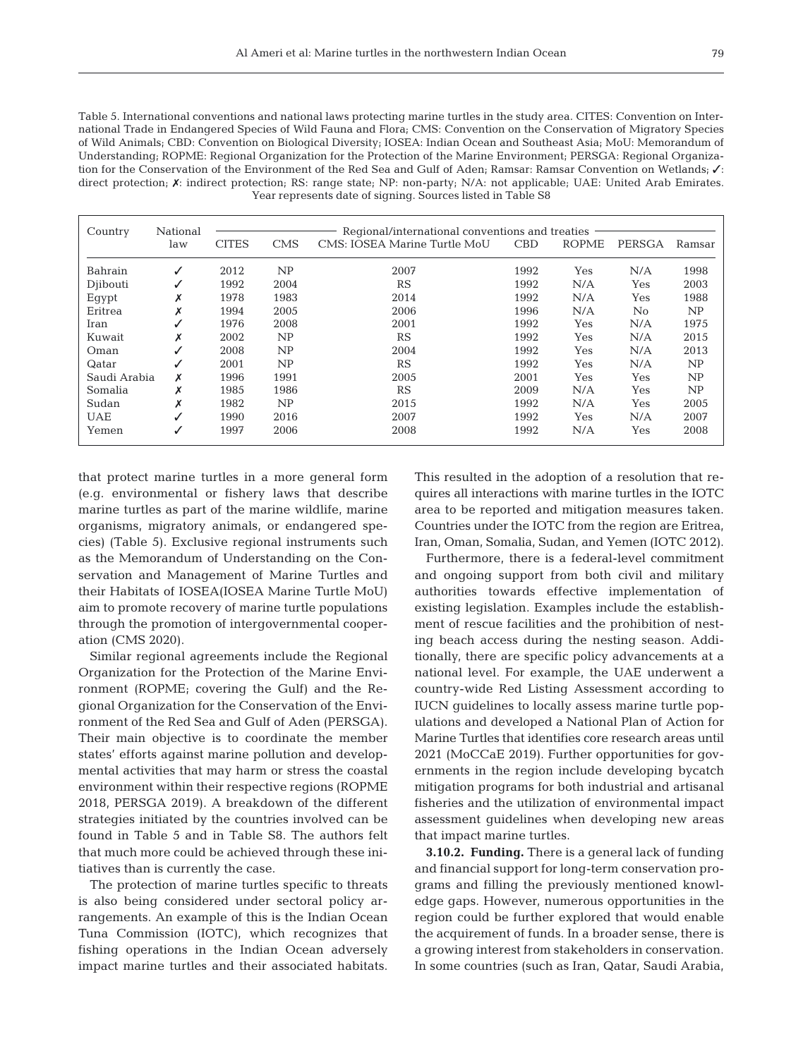Table 5. International conventions and national laws protecting marine turtles in the study area. CITES: Convention on International Trade in Endangered Species of Wild Fauna and Flora; CMS: Convention on the Conservation of Migratory Species of Wild Animals; CBD: Convention on Biological Diversity; IOSEA: Indian Ocean and Southeast Asia; MoU: Memorandum of Understanding; ROPME: Regional Organization for the Protection of the Marine Environment; PERSGA: Regional Organization for the Conservation of the Environment of the Red Sea and Gulf of Aden; Ramsar: Ramsar Convention on Wetlands;  $√$ : direct protection;  $X$ : indirect protection; RS: range state; NP: non-party; N/A: not applicable; UAE: United Arab Emirates. Year represents date of signing. Sources listed in Table S8

| Country      | National | Regional/international conventions and treaties |            |                              |            |              |        |        |
|--------------|----------|-------------------------------------------------|------------|------------------------------|------------|--------------|--------|--------|
|              | law      | <b>CITES</b>                                    | <b>CMS</b> | CMS: IOSEA Marine Turtle MoU | <b>CBD</b> | <b>ROPME</b> | PERSGA | Ramsar |
| Bahrain      | √        | 2012                                            | NP         | 2007                         | 1992       | Yes          | N/A    | 1998   |
| Djibouti     | ✓        | 1992                                            | 2004       | RS                           | 1992       | N/A          | Yes    | 2003   |
| Eqypt        | Х        | 1978                                            | 1983       | 2014                         | 1992       | N/A          | Yes    | 1988   |
| Eritrea      | v<br>⋏   | 1994                                            | 2005       | 2006                         | 1996       | N/A          | No     | NP     |
| Iran         | ✓        | 1976                                            | 2008       | 2001                         | 1992       | Yes          | N/A    | 1975   |
| Kuwait       | X        | 2002                                            | NP         | RS                           | 1992       | Yes          | N/A    | 2015   |
| Oman         |          | 2008                                            | NP         | 2004                         | 1992       | Yes          | N/A    | 2013   |
| Qatar        | ✓        | 2001                                            | NP         | RS                           | 1992       | Yes          | N/A    | NP     |
| Saudi Arabia | X        | 1996                                            | 1991       | 2005                         | 2001       | Yes          | Yes    | NP     |
| Somalia      | X        | 1985                                            | 1986       | RS                           | 2009       | N/A          | Yes    | NP     |
| Sudan        | v<br>^   | 1982                                            | NP         | 2015                         | 1992       | N/A          | Yes    | 2005   |
| <b>UAE</b>   |          | 1990                                            | 2016       | 2007                         | 1992       | Yes          | N/A    | 2007   |
| Yemen        | √        | 1997                                            | 2006       | 2008                         | 1992       | N/A          | Yes    | 2008   |

that protect marine turtles in a more general form (e.g. environmental or fishery laws that describe marine turtles as part of the marine wildlife, marine organisms, migratory animals, or endangered species) (Table 5). Exclusive regional instruments such as the Memorandum of Understanding on the Conservation and Management of Marine Turtles and their Habitats of IOSEA(IOSEA Marine Turtle MoU) aim to promote recovery of marine turtle populations through the promotion of intergovernmental cooperation (CMS 2020).

Similar regional agreements include the Regional Organization for the Protection of the Marine Environment (ROPME; covering the Gulf) and the Regional Organization for the Conservation of the Environment of the Red Sea and Gulf of Aden (PERSGA). Their main objective is to coordinate the member states' efforts against marine pollution and developmental activities that may harm or stress the coastal environment within their respective regions (ROPME 2018, PERSGA 2019). A breakdown of the different strategies initiated by the countries involved can be found in Table 5 and in Table S8. The authors felt that much more could be achieved through these initiatives than is currently the case.

The protection of marine turtles specific to threats is also being considered under sectoral policy arrangements. An example of this is the Indian Ocean Tuna Commission (IOTC), which recognizes that fishing operations in the Indian Ocean adversely impact marine turtles and their associated habitats. This resulted in the adoption of a resolution that requires all interactions with marine turtles in the IOTC area to be reported and mitigation measures taken. Countries under the IOTC from the region are Eritrea, Iran, Oman, Somalia, Sudan, and Yemen (IOTC 2012).

Furthermore, there is a federal-level commitment and ongoing support from both civil and military authorities towards effective implementation of existing legislation. Examples include the establishment of rescue facilities and the prohibition of nesting beach access during the nesting season. Additionally, there are specific policy advancements at a national level. For example, the UAE underwent a country-wide Red Listing Assessment according to IUCN guidelines to locally assess marine turtle populations and developed a National Plan of Action for Marine Turtles that identifies core research areas until 2021 (MoCCaE 2019). Further opportunities for governments in the region include developing bycatch mitigation programs for both industrial and artisanal fisheries and the utilization of environmental impact assessment guidelines when developing new areas that impact marine turtles.

**3.10.2. Funding.** There is a general lack of funding and financial support for long-term conservation programs and filling the previously mentioned knowledge gaps. However, numerous opportunities in the region could be further explored that would enable the acquirement of funds. In a broader sense, there is a growing interest from stakeholders in conservation. In some countries (such as Iran, Qatar, Saudi Arabia,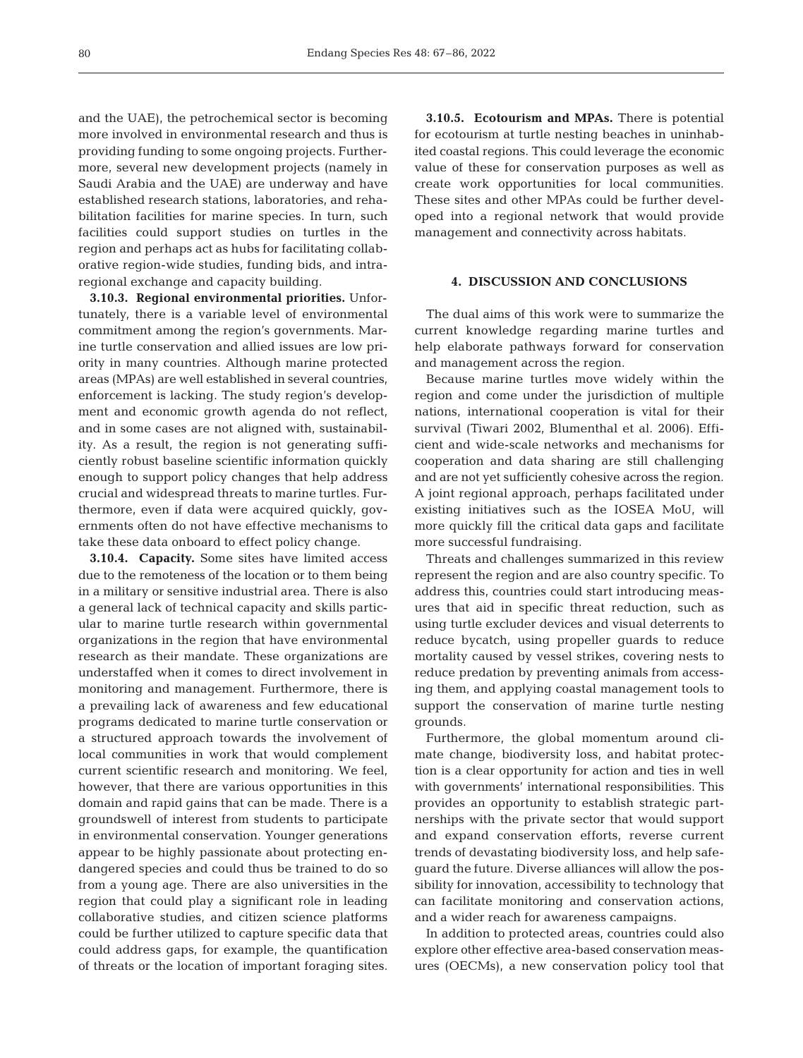and the UAE), the petrochemical sector is becoming more involved in environmental research and thus is providing funding to some ongoing projects. Furthermore, several new development projects (namely in Saudi Arabia and the UAE) are underway and have established research stations, laboratories, and rehabilitation facilities for marine species. In turn, such facilities could support studies on turtles in the region and perhaps act as hubs for facilitating collaborative region-wide studies, funding bids, and intraregional exchange and capacity building.

**3.10.3. Regional environmental priorities.** Unfortunately, there is a variable level of environmental commitment among the region's governments. Marine turtle conservation and allied issues are low priority in many countries. Although marine protected areas (MPAs) are well established in several countries, enforcement is lacking. The study region's development and economic growth agenda do not reflect, and in some cases are not aligned with, sustainability. As a result, the region is not generating sufficiently robust baseline scientific information quickly enough to support policy changes that help address crucial and widespread threats to marine turtles. Furthermore, even if data were acquired quickly, governments often do not have effective mechanisms to take these data onboard to effect policy change.

**3.10.4. Capacity.** Some sites have limited access due to the remoteness of the location or to them being in a military or sensitive industrial area. There is also a general lack of technical capacity and skills particular to marine turtle research within governmental organizations in the region that have environmental research as their mandate. These organizations are understaffed when it comes to direct involvement in monitoring and management. Furthermore, there is a prevailing lack of awareness and few educational programs dedicated to marine turtle conservation or a structured approach towards the involvement of local communities in work that would complement current scientific research and monitoring. We feel, however, that there are various opportunities in this domain and rapid gains that can be made. There is a groundswell of interest from students to participate in environmental conservation. Younger generations appear to be highly passionate about protecting endangered species and could thus be trained to do so from a young age. There are also universities in the region that could play a significant role in leading collaborative studies, and citizen science platforms could be further utilized to capture specific data that could address gaps, for example, the quantification of threats or the location of important foraging sites.

**3.10.5. Ecotourism and MPAs.** There is potential for ecotourism at turtle nesting beaches in uninhabited coastal regions. This could leverage the economic value of these for conservation purposes as well as create work opportunities for local communities. These sites and other MPAs could be further developed into a regional network that would provide management and connectivity across habitats.

#### **4. DISCUSSION AND CONCLUSIONS**

The dual aims of this work were to summarize the current knowledge regarding marine turtles and help elaborate pathways forward for conservation and management across the region.

Because marine turtles move widely within the region and come under the jurisdiction of multiple nations, international cooperation is vital for their survival (Tiwari 2002, Blumenthal et al. 2006). Efficient and wide-scale networks and mechanisms for cooperation and data sharing are still challenging and are not yet sufficiently cohesive across the region. A joint regional approach, perhaps facilitated under existing initiatives such as the IOSEA MoU, will more quickly fill the critical data gaps and facilitate more successful fundraising.

Threats and challenges summarized in this review represent the region and are also country specific. To address this, countries could start introducing measures that aid in specific threat reduction, such as using turtle excluder devices and visual deterrents to reduce bycatch, using propeller guards to reduce mortality caused by vessel strikes, covering nests to reduce predation by preventing animals from accessing them, and applying coastal management tools to support the conservation of marine turtle nesting grounds.

Furthermore, the global momentum around climate change, biodiversity loss, and habitat protection is a clear opportunity for action and ties in well with governments' international responsibilities. This provides an opportunity to establish strategic partnerships with the private sector that would support and expand conservation efforts, reverse current trends of devastating biodiversity loss, and help safeguard the future. Diverse alliances will allow the possibility for innovation, accessibility to technology that can facilitate monitoring and conservation actions, and a wider reach for awareness campaigns.

In addition to protected areas, countries could also explore other effective area-based conservation measures (OECMs), a new conservation policy tool that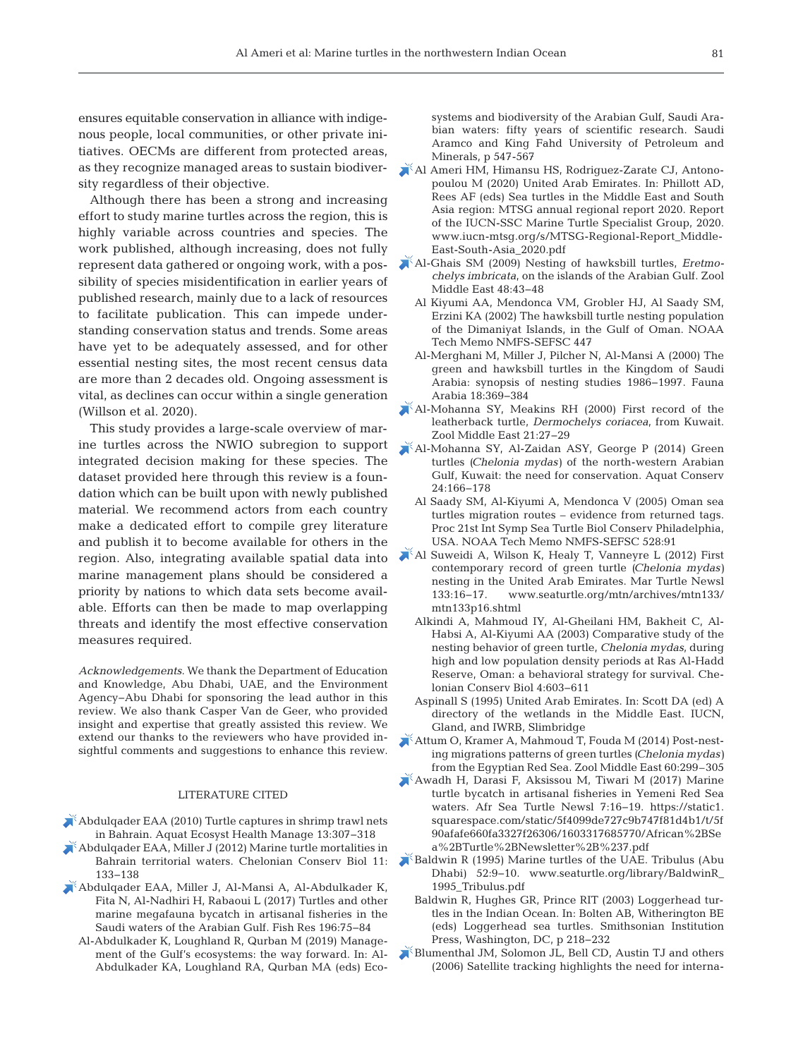ensures equitable conservation in alliance with indigenous people, local communities, or other private initiatives. OECMs are different from protected areas, as they recognize managed areas to sustain biodiversity regardless of their objective.

Although there has been a strong and increasing effort to study marine turtles across the region, this is highly variable across countries and species. The work published, although increasing, does not fully represent data gathered or ongoing work, with a possibility of species misidentification in earlier years of published research, mainly due to a lack of resources to facilitate publication. This can impede understanding conservation status and trends. Some areas have yet to be adequately assessed, and for other essential nesting sites, the most recent census data are more than 2 decades old. Ongoing assessment is vital, as declines can occur within a single generation (Willson et al. 2020).

This study provides a large-scale overview of marine turtles across the NWIO subregion to support integrated decision making for these species. The dataset provided here through this review is a foundation which can be built upon with newly published material. We recommend actors from each country make a dedicated effort to compile grey literature and publish it to become available for others in the region. Also, integrating available spatial data into marine management plans should be considered a priority by nations to which data sets become available. Efforts can then be made to map overlapping threats and identify the most effective conservation measures required.

*Acknowledgements*. We thank the Department of Education and Knowledge, Abu Dhabi, UAE, and the Environment Agency−Abu Dhabi for sponsoring the lead author in this review. We also thank Casper Van de Geer, who provided insight and expertise that greatly assisted this review. We extend our thanks to the reviewers who have provided in sightful comments and suggestions to enhance this review.

# LITERATURE CITED

- [Abdulqader EAA \(2010\) Turtle captures in shrimp trawl nets](https://doi.org/10.1080/14634988.2010.502795)  in Bahrain. Aquat Ecosyst Health Manage 13: 307−318
- [Abdulqader EAA, Miller J \(2012\) Marine turtle mortalities in](https://doi.org/10.2744/CCB-0826.1)  Bahrain territorial waters. Chelonian Conserv Biol 11: 133−138
- [Abdulqader EAA, Miller J, Al-Mansi A, Al-Abdulkader K,](https://doi.org/10.1016/j.fishres.2017.08.008)  Fita N, Al-Nadhiri H, Rabaoui L (2017) Turtles and other marine megafauna bycatch in artisanal fisheries in the Saudi waters of the Arabian Gulf. Fish Res 196:75-84
	- Al-Abdulkader K, Loughland R, Qurban M (2019) Management of the Gulf's ecosystems: the way forward. In: Al-Abdulkader KA, Loughland RA, Qurban MA (eds) Eco-

systems and biodiversity of the Arabian Gulf, Saudi Arabian waters: fifty years of scientific research. Saudi Aramco and King Fahd University of Petroleum and Minerals, p 547-567

- Al Ameri HM, Himansu HS, Rodriguez-Zarate CJ, Antonopoulou M (2020) United Arab Emirates. In: Phillott AD, Rees AF (eds) Sea turtles in the Middle East and South Asia region: MTSG annual regional report 2020. Report of the IUCN-SSC Marine Turtle Specialist Group, 2020. www.iucn-mtsg.org/s/MTSG-Regional-Report\_Middle-East-South-Asia\_2020.pdf
- [Al-Ghais SM \(2009\) Nesting of hawksbill turtles,](https://doi.org/10.1080/09397140.2009.10638365) *Eretmochelys imbricata*, on the islands of the Arabian Gulf. Zool Middle East 48:43-48
	- Al Kiyumi AA, Mendonca VM, Grobler HJ, Al Saady SM, Erzini KA (2002) The hawksbill turtle nesting population of the Dimaniyat Islands, in the Gulf of Oman. NOAA Tech Memo NMFS-SEFSC 447
	- Al-Merghani M, Miller J, Pilcher N, Al-Mansi A (2000) The green and hawksbill turtles in the Kingdom of Saudi Arabia: synopsis of nesting studies 1986−1997. Fauna Arabia 18: 369−384
- [Al-Mohanna SY, Meakins RH \(2000\) First record of the](https://doi.org/10.1080/09397140.2000.10637830)  leatherback turtle, *Dermochelys coriacea*, from Kuwait. Zool Middle East 21: 27−29
- [Al-Mohanna SY, Al-Zaidan ASY, George P \(2014\) Green](https://doi.org/10.1002/aqc.2371)  turtles *(Chelonia mydas)* of the north-western Arabian Gulf, Kuwait: the need for conservation. Aquat Conserv 24: 166−178
	- Al Saady SM, Al-Kiyumi A, Mendonca V (2005) Oman sea turtles migration routes – evidence from returned tags. Proc 21st Int Symp Sea Turtle Biol Conserv Philadelphia, USA. NOAA Tech Memo NMFS-SEFSC 528:91
- [Al Suweidi A, Wilson K, Healy T, Vanneyre L \(2012\) First](http://www.seaturtle.org/mtn/archives/mtn133/mtn133p16.shtml)  contemporary record of green turtle *(Chelonia mydas)*  nesting in the United Arab Emirates. Mar Turtle Newsl 133: 16−17. www.seaturtle.org/mtn/archives/mtn133/ mtn133p16.shtml
	- Alkindi A, Mahmoud IY, Al-Gheilani HM, Bakheit C, Al-Habsi A, Al-Kiyumi AA (2003) Comparative study of the nesting behavior of green turtle, *Chelonia mydas*, during high and low population density periods at Ras Al-Hadd Reserve, Oman: a behavioral strategy for survival. Chelonian Conserv Biol 4: 603−611
	- Aspinall S (1995) United Arab Emirates. In: Scott DA (ed) A directory of the wetlands in the Middle East. IUCN, Gland, and IWRB, Slimbridge
- [Attum O, Kramer A, Mahmoud T, Fouda M \(2014\) Post-nest](https://doi.org/10.1080/09397140.2014.962833)ing migrations patterns of green turtles *(Chelonia mydas)* from the Egyptian Red Sea. Zool Middle East 60:299–305
- [Awadh H, Darasi F, Aksissou M, Tiwari M \(2017\) Marine](https://static1.squarespace.com/static/5f4099de727c9b747f81d4b1/t/5f90afafe660fa3327f26306/1603317685770/African%2BSea%2BTurtle%2BNewsletter%2B%237.pdf)  turtle bycatch in artisanal fisheries in Yemeni Red Sea waters. Afr Sea Turtle Newsl 7:16-19. https://static1. squarespace.com/static/5f4099de727c9b747f81d4b1/t/5f 90afafe660fa3327f26306/1603317685770/African%2BSe a%2BTurtle%2BNewsletter%2B%237.pdf
- [Baldwin R \(1995\) Marine turtles of the UAE. Tribulus \(Abu](http://www.seaturtle.org/library/BaldwinR_1995_Tribulus.pdf)  Dhabi) 52:9-10. www.seaturtle.org/library/BaldwinR\_ 1995\_Tribulus.pdf
	- Baldwin R, Hughes GR, Prince RIT (2003) Loggerhead turtles in the Indian Ocean. In: Bolten AB, Witherington BE (eds) Loggerhead sea turtles. Smithsonian Institution Press, Washington, DC, p 218−232
- [Blumenthal JM, Solomon JL, Bell CD, Austin TJ and others](https://doi.org/10.3354/esr002051)  (2006) Satellite tracking highlights the need for interna-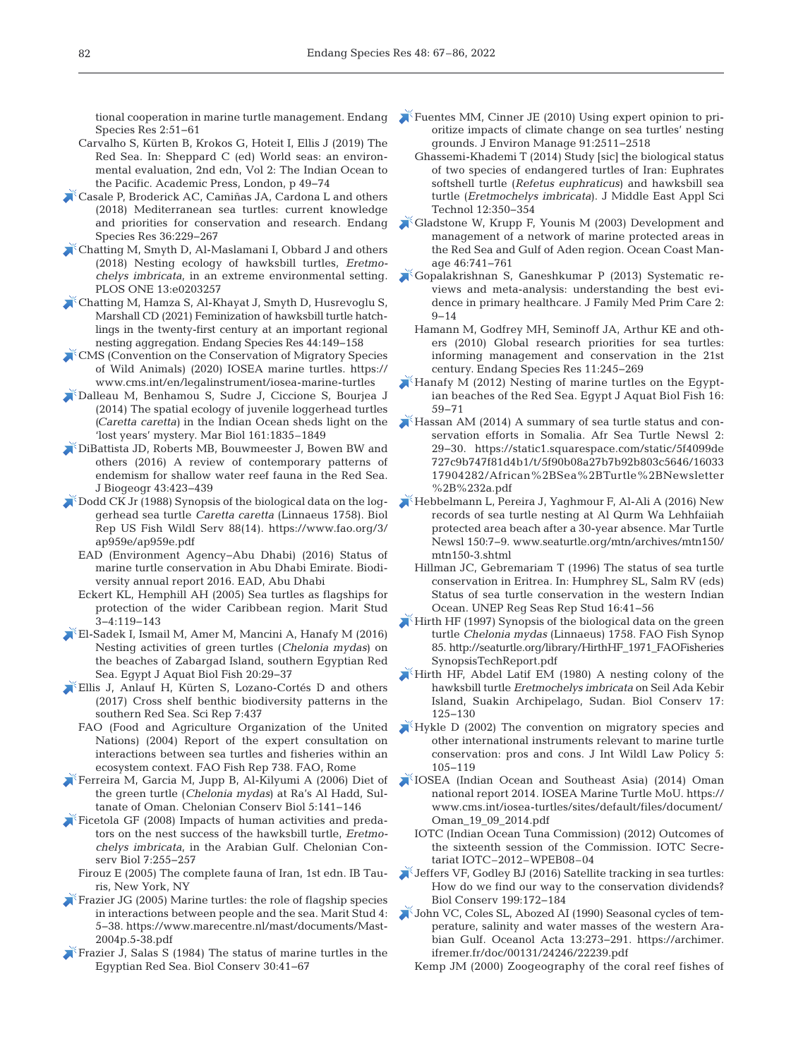tional cooperation in marine turtle management. Endang Species Res 2:51-61

- Carvalho S, Kürten B, Krokos G, Hoteit I, Ellis J (2019) The Red Sea. In: Sheppard C (ed) World seas: an environmental evaluation, 2nd edn, Vol 2: The Indian Ocean to the Pacific. Academic Press, London, p 49−74
- [Casale P, Broderick AC, Camiñas JA, Cardona L and others](https://doi.org/10.3354/esr00901)  (2018) Mediterranean sea turtles: current knowledge and priorities for conservation and research. Endang Species Res 36: 229−267
- [Chatting M, Smyth D, Al-Maslamani I, Obbard J and others](https://doi.org/10.1371/journal.pone.0203257)  (2018) Nesting ecology of hawksbill turtles, *Eretmo chelys imbricata*, in an extreme environmental setting. PLOS ONE 13:e0203257
- [Chatting M, Hamza S, Al-Khayat J, Smyth D, Husrevoglu S,](https://doi.org/10.3354/esr01104)  Marshall CD (2021) Feminization of hawksbill turtle hatchlings in the twenty-first century at an important regional nesting aggregation. Endang Species Res 44: 149−158
- [CMS \(Convention on the Conservation of Migratory Species](https://www.cms.int/en/legalinstrument/iosea-marine-turtles)  of Wild Animals) (2020) IOSEA marine turtles. https:// www.cms.int/en/legalinstrument/iosea-marine-turtles
- [Dalleau M, Benhamou S, Sudre J, Ciccione S, Bourjea J](https://doi.org/10.1007/s00227-014-2465-z)  (2014) The spatial ecology of juvenile loggerhead turtles *(Caretta caretta)* in the Indian Ocean sheds light on the 'lost years' mystery. Mar Biol 161:1835–1849
- [DiBattista JD, Roberts MB, Bouwmeester J, Bowen BW and](https://doi.org/10.1111/jbi.12649)  others (2016) A review of contemporary patterns of endemism for shallow water reef fauna in the Red Sea. J Biogeogr 43: 423−439
- [Dodd CK Jr \(1988\) Synopsis of the biological data on the log](https://www.fao.org/3/ap959e/ap959e.pdf)gerhead sea turtle *Caretta caretta* (Linnaeus 1758). Biol Rep US Fish Wildl Serv 88(14). https: //www.fao.org/3/ ap959e/ap959e.pdf
	- EAD (Environment Agency−Abu Dhabi) (2016) Status of marine turtle conservation in Abu Dhabi Emirate. Biodiversity annual report 2016. EAD, Abu Dhabi
	- Eckert KL, Hemphill AH (2005) Sea turtles as flagships for protection of the wider Caribbean region. Marit Stud 3−4: 119−143
- [El-Sadek I, Ismail M, Amer M, Mancini A, Hanafy M \(2016\)](https://doi.org/10.21608/ejabf.2016.11175)  Nesting activities of green turtles (*Chelonia mydas*) on the beaches of Zabargad Island, southern Egyptian Red Sea. Egypt J Aquat Biol Fish 20:29-37
- [Ellis J, Anlauf H, Kürten S, Lozano-Cortés D and others](https://doi.org/10.1038/s41598-017-00507-y)  (2017) Cross shelf benthic biodiversity patterns in the southern Red Sea. Sci Rep 7:437
	- FAO (Food and Agriculture Organization of the United Nations) (2004) Report of the expert consultation on interactions between sea turtles and fisheries within an ecosystem context. FAO Fish Rep 738. FAO, Rome
- [Ferreira M, Garcia M, Jupp B, Al-Kilyumi A \(2006\) Diet of](https://doi.org/10.2744/1071-8443(2006)5%5b141%3ADOTGTC%5d2.0.CO%3B2)  the green turtle (*Chelonia mydas*) at Ra's Al Hadd, Sultanate of Oman. Chelonian Conserv Biol 5: 141−146
- [Ficetola GF \(2008\) Impacts of human activities and preda](https://doi.org/10.2744/CCB-0700.1)tors on the nest success of the hawksbill turtle, *Eretmo chelys imbricata*, in the Arabian Gulf. Chelonian Conserv Biol 7:255-257
	- Firouz E (2005) The complete fauna of Iran, 1st edn. IB Tauris, New York, NY
- Frazier JG (2005) Marine turtles: the role of flagship species in interactions between people and the sea. Marit Stud 4: 5−38. https: //www.marecentre.nl/mast/documents/Mast-2004p.5-38.pdf
- Frazier J, Salas S (1984) The status of marine turtles in the Egyptian Red Sea. Biol Conserv 30: 41−67
- [Fuentes MM, Cinner JE \(2010\) Using expert opinion to pri](https://doi.org/10.1016/j.jenvman.2010.07.013)oritize impacts of climate change on sea turtles' nesting grounds. J Environ Manage 91:2511-2518
	- Ghassemi-Khademi T (2014) Study [sic] the biological status of two species of endangered turtles of Iran:Euphrates softshell turtle (*Refetus euphraticus*) and hawksbill sea turtle (*Eretmochelys imbricata*). J Middle East Appl Sci Technol 12:350-354
- [Gladstone W, Krupp F, Younis M \(2003\) Development and](https://doi.org/10.1016/S0964-5691(03)00065-6)  management of a network of marine protected areas in the Red Sea and Gulf of Aden region. Ocean Coast Manage 46:741-761
- [Gopalakrishnan S, Ganeshkumar P \(2013\) Systematic re](https://doi.org/10.4103/2249-4863.109934)  views and meta-analysis: understanding the best evidence in primary healthcare. J Family Med Prim Care 2: 9−14
	- Hamann M, Godfrey MH, Seminoff JA, Arthur KE and others (2010) Global research priorities for sea turtles: informing management and conservation in the 21st century. Endang Species Res 11:245−269
- [Hanafy M \(2012\) Nesting of marine turtles on the Egypt](https://doi.org/10.21608/ejabf.2012.2125)ian beaches of the Red Sea. Egypt J Aquat Biol Fish 16: 59−71
- [Hassan AM \(2014\) A summary of sea turtle status and con](https://static1.squarespace.com/static/5f4099de727c9b747f81d4b1/t/5f90b08a27b7b92b803c5646/1603317904282/African%2BSea%2BTurtle%2BNewsletter%2B%232a.pdf)servation efforts in Somalia. Afr Sea Turtle Newsl 2: 29−30. https: //static1.squarespace.com/static/5f4099de 727c9b747f81d4b1/t/5f90b08a27b7b92b803c5646/16033 17904282/African%2BSea%2BTurtle%2BNewsletter %2B%232a.pdf
- [Hebbelmann L, Pereira J, Yaghmour F, Al-Ali A \(2016\) New](http://www.seaturtle.org/mtn/archives/mtn150/mtn150-3.shtml)  records of sea turtle nesting at Al Qurm Wa Lehhfaiiah protected area beach after a 30-year absence. Mar Turtle Newsl 150:7-9. www.seaturtle.org/mtn/archives/mtn150/ mtn150-3.shtml
	- Hillman JC, Gebremariam T (1996) The status of sea turtle conservation in Eritrea. In: Humphrey SL, Salm RV (eds) Status of sea turtle conservation in the western Indian Ocean. UNEP Reg Seas Rep Stud 16:41-56
- [Hirth HF \(1997\) Synopsis of the biological data on the green](http://seaturtle.org/library/HirthHF_1971_FAOFisheriesSynopsisTechReport.pdf)  turtle *Chelonia mydas* (Linnaeus) 1758. FAO Fish Synop 85. http: //seaturtle.org/library/HirthHF\_1971\_FAOFisheries SynopsisTechReport.pdf
- [Hirth HF, Abdel Latif EM \(1980\) A nesting colony of the](https://doi.org/10.1016/0006-3207(80)90042-7)  hawks bill turtle *Eretmochelys imbricata* on Seil Ada Kebir Island, Suakin Archipelago, Sudan. Biol Conserv 17: 125−130
- [Hykle D \(2002\) The convention on migratory species and](https://doi.org/doi:10.1080/13880290209354001)  other international instruments relevant to marine turtle conservation: pros and cons. J Int Wildl Law Policy 5: 105−119
- [IOSEA \(Indian Ocean and Southeast Asia\) \(2014\) Oman](http://www.cms.int/iosea-turtles/sites/default/files/document/Oman_19_09_2014.pdf</eref)  national report 2014. IOSEA Marine Turtle MoU. https: // www.cms.int/iosea-turtles/sites/default/files/document/ Oman\_19\_09\_2014.pdf
	- IOTC (Indian Ocean Tuna Commission) (2012) Outcomes of the sixteenth session of the Commission. IOTC Secretariat IOTC–2012–WPEB08–04
- [Jeffers VF, Godley BJ \(2016\) Satellite tracking in sea turtles:](https://doi.org/10.1016/j.biocon.2016.04.032)  How do we find our way to the conservation dividends? Biol Conserv 199: 172−184
- [John VC, Coles SL, Abozed AI \(1990\) Seasonal cycles of tem](https://archimer.ifremer.fr/doc/00131/24246/22239.pdf)perature, salinity and water masses of the western Arabian Gulf. Oceanol Acta 13:273−291. https://archimer. ifremer.fr/doc/00131/24246/22239.pdf
	- Kemp JM (2000) Zoogeography of the coral reef fishes of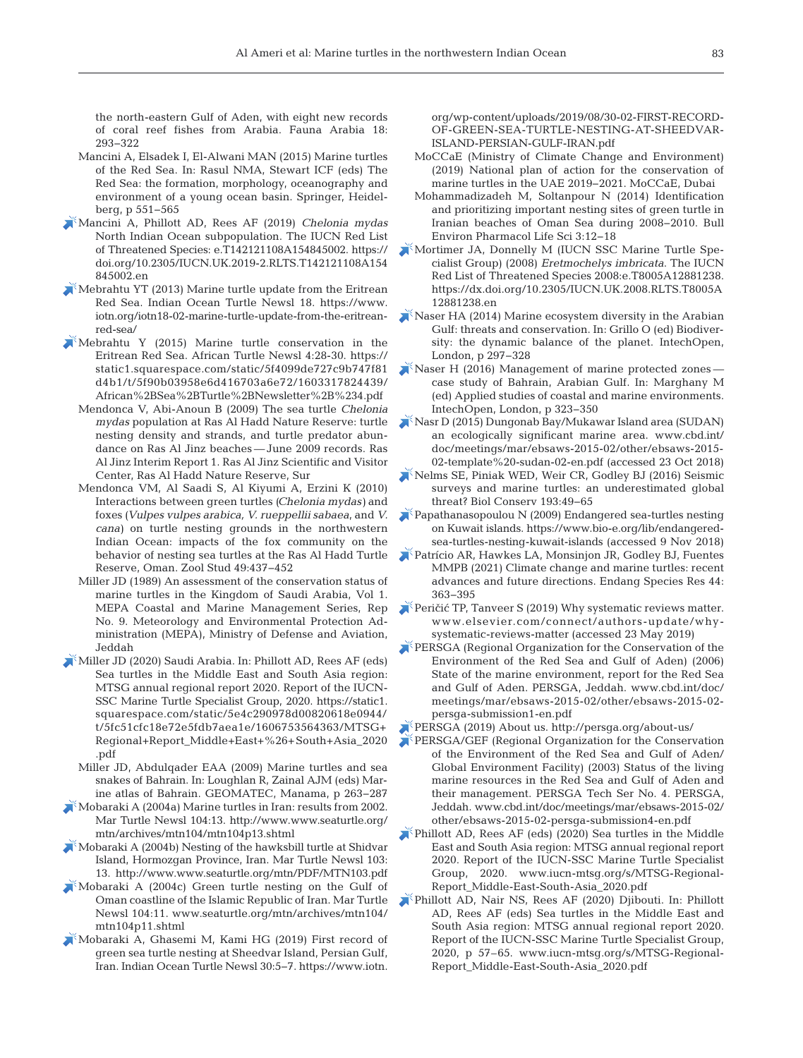the north-eastern Gulf of Aden, with eight new records of coral reef fishes from Arabia. Fauna Arabia 18: 293−322

- Mancini A, Elsadek I, El-Alwani MAN (2015) Marine turtles of the Red Sea. In: Rasul NMA, Stewart ICF (eds) The Red Sea: the formation, morphology, oceanography and environment of a young ocean basin. Springer, Heidelberg, p 551−565
- [Mancini A, Phillott AD, Rees AF \(2019\)](https://doi.org/10.2305/IUCN.UK.2019-2.RLTS.T142121108A154845002.en) *Chelonia mydas* North Indian Ocean subpopulation. The IUCN Red List of Threatened Species: e.T142121108A154845002. https:// doi.org/10.2305/IUCN.UK.2019-2.RLTS.T142121108A154 845002.en
- $\blacktriangleright$  Mebrahtu YT (2013) Marine turtle update from the Eritrean Red Sea. Indian Ocean Turtle Newsl 18. https://www. iotn.org/iotn18-02-marine-turtle-update-from-the-eritreanred-sea/
- [Mebrahtu Y \(2015\) Marine turtle conservation in the](https://static1.squarespace.com/static/5f4099de727c9b747f81d4b1/t/5f90b03958e6d416703a6e72/1603317824439/African%2BSea%2BTurtle%2BNewsletter%2B%234.pdf)  Eritrean Red Sea. African Turtle Newsl 4:28-30. https:// static1.squarespace.com/static/5f4099de727c9b747f81 d4b1/t/5f90b03958e6d416703a6e72/1603317824439/ African%2BSea%2BTurtle%2BNewsletter%2B%234.pdf
	- Mendonca V, Abi-Anoun B (2009) The sea turtle *Chelonia mydas* population at Ras Al Hadd Nature Reserve: turtle nesting density and strands, and turtle predator abundance on Ras Al Jinz beaches — June 2009 records. Ras Al Jinz Interim Report 1. Ras Al Jinz Scientific and Visitor Center, Ras Al Hadd Nature Reserve, Sur
	- Mendonca VM, Al Saadi S, Al Kiyumi A, Erzini K (2010) Interactions between green turtles *(Chelonia mydas)* and foxes *(Vulpes vulpes arabica, V. rueppellii sabaea*, and *V. cana)* on turtle nesting grounds in the northwestern Indian Ocean: impacts of the fox community on the behavior of nesting sea turtles at the Ras Al Hadd Turtle Reserve, Oman. Zool Stud 49:437-452
	- Miller JD (1989) An assessment of the conservation status of marine turtles in the Kingdom of Saudi Arabia, Vol 1. MEPA Coastal and Marine Management Series, Rep No. 9. Meteorology and Environmental Protection Administration (MEPA), Ministry of Defense and Aviation, Jeddah
- [Miller JD \(2020\) Saudi Arabia. In:Phillott AD, Rees AF \(eds\)](https://static1.squarespace.com/static/5e4c290978d00820618e0944/t/5fc51cfc18e72e5fdb7aea1e/1606753564363/MTSG+Regional+Report_Middle+East+%26+South+Asia_2020.pdf)  Sea turtles in the Middle East and South Asia region: MTSG annual regional report 2020. Report of the IUCN-SSC Marine Turtle Specialist Group, 2020. https: //static1. squarespace.com/static/5e4c290978d00820618e0944/ t/5fc51cfc18e72e5fdb7aea1e/1606753564363/MTSG+ Regional+Report\_Middle+East+%26+South+Asia\_2020 .pdf
- Miller JD, Abdulqader EAA (2009) Marine turtles and sea snakes of Bahrain. In:Loughlan R, Zainal AJM (eds) Marine atlas of Bahrain. GEOMATEC, Manama, p 263−287
- $\blacktriangleright$  Mobaraki A (2004a) Marine turtles in Iran: results from 2002. Mar Turtle Newsl 104:13. http://www.www.seaturtle.org/ mtn/archives/mtn104/mtn104p13.shtml
- [Mobaraki A \(2004b\) Nesting of the hawksbill turtle at Shidvar](http://www.seaturtle.org/mtn/PDF/MTN103.pdf)  Island, Hormozgan Province, Iran. Mar Turtle Newsl 103: 13. http: //www.www.seaturtle.org/mtn/PDF/MTN103.pdf
- [Mobaraki A \(2004c\) Green turtle nesting on the Gulf of](http://www.seaturtle.org/mtn/archives/mtn104/mtn104p11.shtml)  Oman coastline of the Islamic Republic of Iran. Mar Turtle Newsl 104: 11. www.seaturtle.org/mtn/archives/mtn104/ mtn104p11.shtml
- [Mobaraki A, Ghasemi M, Kami HG \(2019\) First record of](http://www.iotn.org/wp-content/uploads/2019/08/30-02-FIRST-RECORD-OF-GREEN-SEA-TURTLE-NESTING-AT-SHEEDVAR-ISLAND-PERSIAN-GULF-IRAN.pdf)  green sea turtle nesting at Sheedvar Island, Persian Gulf, Iran. Indian Ocean Turtle Newsl 30:5−7. https://www.iotn.

org/wp-content/uploads/2019/08/30-02-FIRST-RECORD-OF-GREEN-SEA-TURTLE-NESTING-AT-SHEEDVAR-ISLAND-PERSIAN-GULF-IRAN.pdf

- MoCCaE (Ministry of Climate Change and Environment) (2019) National plan of action for the conservation of marine turtles in the UAE 2019−2021. MoCCaE, Dubai
- Mohammadizadeh M, Soltanpour N (2014) Identification and prioritizing important nesting sites of green turtle in Iranian beaches of Oman Sea during 2008−2010. Bull Environ Pharmacol Life Sci 3: 12−18
- [Mortimer JA, Donnelly M \(IUCN SSC Marine Turtle Spe](https://dx.doi.org/10.2305/IUCN.UK.2008.RLTS.T8005A12881238.en)cialist Group) (2008) *Eretmochelys imbricata*. The IUCN Red List of Threatened Species 2008:e.T8005A12881238. https://dx.doi.org/10.2305/IUCN.UK.2008.RLTS.T8005A 12881238.en
- [Naser HA \(2014\) Marine ecosystem diversity in the Arabian](https://doi.org/10.5772/57425)  Gulf: threats and conservation. In: Grillo O (ed) Biodiversity: the dynamic balance of the planet. IntechOpen, London, p 297−328
- [Naser H \(2016\) Management of marine protected zones](http://doi.org/10.5772/62132)  case study of Bahrain, Arabian Gulf. In: Marghany M (ed) Applied studies of coastal and marine environments. IntechOpen, London, p 323−350
- [Nasr D \(2015\) Dungonab Bay/Mukawar Island area \(SUDAN\)](http://www.cbd.int/doc/meetings/mar/ebsaws-2015-02/other/ebsaws-2015-02-template -sudan-02-en.pdf)  an ecologically significant marine area. www.cbd.int/ doc/meetings/mar/ebsaws-2015-02/other/ebsaws-2015- 02-template%20-sudan-02-en.pdf (accessed 23 Oct 2018)
- [Nelms SE, Piniak WED, Weir CR, Godley BJ \(2016\) Seismic](https://doi.org/10.1016/j.biocon.2015.10.020)  surveys and marine turtles: an underestimated global threat? Biol Conserv 193:49-65
- $\Gamma$ Papathanasopoulou N (2009) Endangered sea-turtles nesting on Kuwait islands. https: //www.bio-e.org/lib/endangeredsea-turtles-nesting-kuwait-islands (accessed 9 Nov 2018)
- [Patrício AR, Hawkes LA, Monsinjon JR, Godley BJ, Fuentes](https://doi.org/10.3354/esr01110)  MMPB (2021) Climate change and marine turtles: recent advances and future directions. Endang Species Res 44: 363−395
- Peričić TP, Tanveer S (2019) Why systematic reviews matter. www.elsevier.com/connect/authors-update/whysystematic- reviews-matter (accessed 23 May 2019)
- PERSGA (Regional Organization for the Conservation of the Environment of the Red Sea and Gulf of Aden) (2006) State of the marine environment, report for the Red Sea and Gulf of Aden. PERSGA, Jeddah. www.cbd.int/doc/ meetings/mar/ebsaws-2015-02/other/ebsaws-2015-02 persga-submission1-en.pdf

[PERSGA \(2019\) About us. http://persga.org/about-us/](http://persga.org/about-us/) 

- [PERSGA/GEF \(Regional Organization for the Conservation](http://www.cbd.int/doc/meetings/mar/ebsaws-2015-02/other/ebsaws-2015-02-persga-submission4-en.pdf)  of the Environment of the Red Sea and Gulf of Aden/ Global Environment Facility) (2003) Status of the living marine resources in the Red Sea and Gulf of Aden and their management. PERSGA Tech Ser No. 4. PERSGA, Jeddah. www.cbd.int/doc/meetings/mar/ebsaws-2015-02/ other/ebsaws-2015-02-persga-submission4-en.pdf
- [Phillott AD, Rees AF \(eds\) \(2020\) Sea turtles in the Middle](http://www.iucn-mtsg.org/s/MTSG-Regional-Report_Middle-East-South-Asia_2020.pdf)  East and South Asia region: MTSG annual regional report 2020. Report of the IUCN-SSC Marine Turtle Specialist Group, 2020. www.iucn-mtsg.org/s/MTSG-Regional-Report\_Middle-East-South-Asia\_2020.pdf
- Phillott AD, Nair NS, Rees AF (2020) Djibouti. In: Phillott AD, Rees AF (eds) Sea turtles in the Middle East and South Asia region: MTSG annual regional report 2020. Report of the IUCN-SSC Marine Turtle Specialist Group, 2020, p 57–65. www.iucn-mtsg.org/s/MTSG-Regional-Report\_Middle-East-South-Asia\_2020.pdf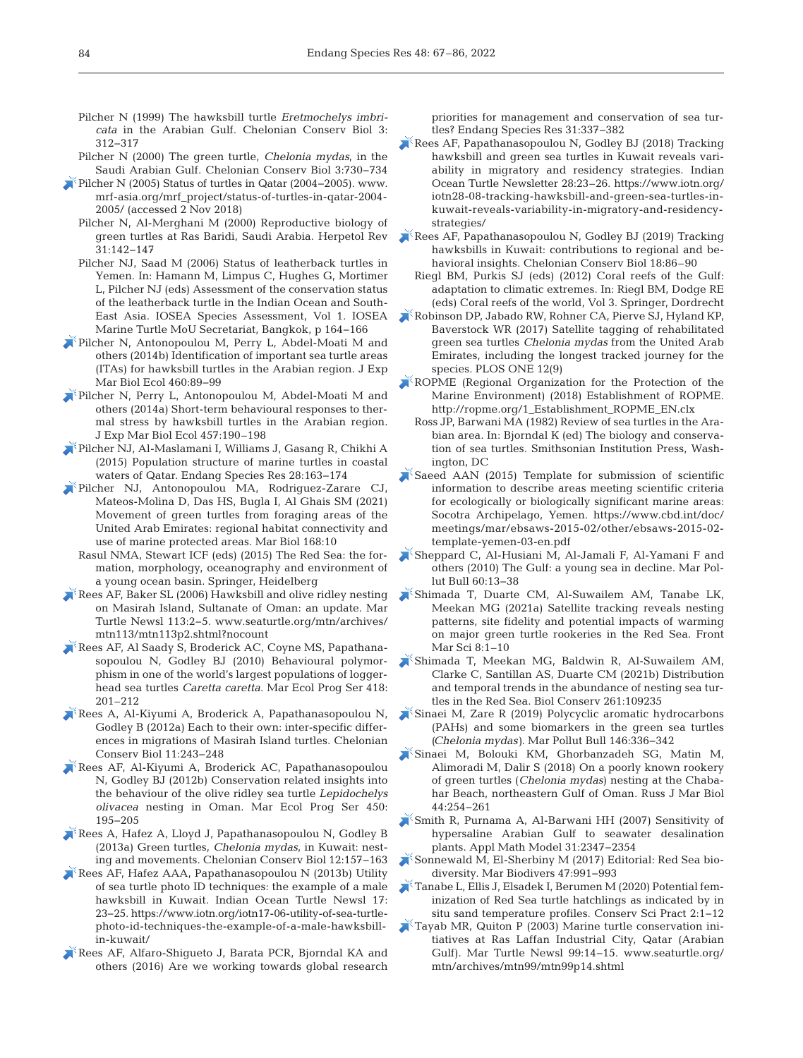- Pilcher N (1999) The hawksbill turtle *Eretmochelys imbricata* in the Arabian Gulf. Chelonian Conserv Biol 3: 312−317
- Pilcher N (2000) The green turtle, *Chelonia mydas*, in the Saudi Arabian Gulf. Chelonian Conserv Biol 3: 730−734
- [Pilcher N \(2005\) Status of turtles in Qatar \(2004−2005\). www.](http://www.mrf-asia.org/mrf_project/status-of-turtles-in-qatar-2004-2005/) mrf-asia.org/mrf\_project/status-of-turtles-in-qatar-2004- 2005/ (accessed 2 Nov 2018)
	- Pilcher N, Al-Merghani M (2000) Reproductive biology of green turtles at Ras Baridi, Saudi Arabia. Herpetol Rev 31: 142−147
	- Pilcher NJ, Saad M (2006) Status of leatherback turtles in Yemen. In: Hamann M, Limpus C, Hughes G, Mortimer L, Pilcher NJ (eds) Assessment of the conservation status of the leatherback turtle in the Indian Ocean and South-East Asia. IOSEA Species Assessment, Vol 1. IOSEA Marine Turtle MoU Secretariat, Bangkok, p 164−166
- [Pilcher N, Antonopoulou M, Perry L, Abdel-Moati M and](https://doi.org/10.1016/j.jembe.2014.06.009)  others (2014b) Identification of important sea turtle areas (ITAs) for hawksbill turtles in the Arabian region. J Exp Mar Biol Ecol 460:89-99
- [Pilcher N, Perry L, Antonopoulou M, Abdel-Moati M and](https://doi.org/10.1016/j.jembe.2014.04.002)  others (2014a) Short-term behavioural responses to thermal stress by hawksbill turtles in the Arabian region. J Exp Mar Biol Ecol 457:190–198
- [Pilcher NJ, Al-Maslamani I, Williams J, Gasang R, Chikhi A](http://doi.org/10.1007/s00227-020-03815-6)  (2015) Population structure of marine turtles in coastal waters of Qatar. Endang Species Res 28:163-174
- [Pilcher NJ, Antonopoulou MA, Rodriguez-Zarare CJ,](http://doi.org/10.1007/s00227-020-03815-6)  Mateos-Molina D, Das HS, Bugla I, Al Ghais SM (2021) Movement of green turtles from foraging areas of the United Arab Emirates: regional habitat connectivity and use of marine protected areas. Mar Biol 168:10
	- Rasul NMA, Stewart ICF (eds) (2015) The Red Sea: the formation, morphology, oceanography and environment of a young ocean basin. Springer, Heidelberg
- $\blacktriangleright$  Rees AF, Baker SL (2006) Hawksbill and olive ridley nesting on Masirah Island, Sultanate of Oman: an update. Mar Turtle Newsl 113:2-5. www.seaturtle.org/mtn/archives/ mtn113/mtn113p2.shtml?nocount
- [Rees AF, Al Saady S, Broderick AC, Coyne MS, Papathana](https://doi.org/10.3354/meps08767)sopoulou N, Godley BJ (2010) Behavioural polymorphism in one of the world's largest populations of loggerhead sea turtles *Caretta caretta*. Mar Ecol Prog Ser 418: 201–212
- $\blacktriangleright$  Rees A, Al-Kiyumi A, Broderick A, Papathanasopoulou N, Godley B (2012a) Each to their own: inter-specific differences in migrations of Masirah Island turtles. Chelonian Conserv Biol 11: 243−248
- [Rees AF, Al-Kiyumi A, Broderick AC, Papathanasopoulou](https://doi.org/10.3354/meps09527)  N, Godley BJ (2012b) Conservation related insights into the behaviour of the olive ridley sea turtle *Lepidochelys olivacea* nesting in Oman. Mar Ecol Prog Ser 450: 195−205
- [Rees A, Hafez A, Lloyd J, Papathanasopoulou N, Godley B](https://doi.org/10.2744/CCB-1030.1)  (2013a) Green turtles, *Chelonia mydas*, in Kuwait: nesting and movements. Chelonian Conserv Biol 12: 157−163
- [Rees AF, Hafez AAA, Papathanasopoulou N \(2013b\) Utility](https://www.iotn.org/iotn17-06-utility-of-sea-turtle-photo-id-techniques-the-example-of-a-male-hawksbill-in-kuwait/)  of sea turtle photo ID techniques: the example of a male hawksbill in Kuwait. Indian Ocean Turtle Newsl 17: 23−25. https: //www.iotn.org/iotn17-06-utility-of-sea-turtlephoto-id-techniques-the-example-of-a-male-hawksbillin-kuwait/
- [Rees AF, Alfaro-Shigueto J, Barata PCR, Bjorndal KA and](https://doi.org/10.3354/esr00801)  others (2016) Are we working towards global research

priorities for management and conservation of sea turtles? Endang Species Res 31: 337−382

- [Rees AF, Papathanasopoulou N, Godley BJ \(2018\) Tracking](https://www.iotn.org/iotn28-08-tracking-hawksbill-and-green-sea-turtles-in-kuwait-reveals-variability-in-migratory-and-residency-strategies/)  hawksbill and green sea turtles in Kuwait reveals variability in migratory and residency strategies. Indian Ocean Turtle Newsletter 28:23–26. https://www.iotn.org/ iotn28-08-tracking-hawksbill-and-green-sea- turtles-inkuwait-reveals-variability-in-migratory-and-residencystrategies/
- [Rees AF, Papathanasopoulou N, Godley BJ \(2019\) Tracking](https://doi.org/10.2744/CCB-1368.1)  hawksbills in Kuwait: contributions to regional and be havioral insights. Chelonian Conserv Biol 18:86–90
	- Riegl BM, Purkis SJ (eds) (2012) Coral reefs of the Gulf: adaptation to climatic extremes. In: Riegl BM, Dodge RE (eds) Coral reefs of the world, Vol 3. Springer, Dordrecht
- [Robinson DP, Jabado RW, Rohner CA, Pierve SJ, Hyland KP,](https://doi.org/10.1371/journal.pone.0184286)  Baverstock WR (2017) Satellite tagging of rehabilitated green sea turtles *Chelonia mydas* from the United Arab Emirates, including the longest tracked journey for the species. PLOS ONE 12(9)
- [ROPME \(Regional Organization for the Protection of the](http://ropme.org/1_Establishment_ROPME_EN.clx)  Marine Environment) (2018) Establishment of ROPME. http://ropme.org/1\_Establishment\_ROPME\_EN.clx
- Ross JP, Barwani MA (1982) Review of sea turtles in the Arabian area. In: Bjorndal K (ed) The biology and conservation of sea turtles. Smithsonian Institution Press, Washington, DC
- Saeed AAN (2015) Template for submission of scientific information to describe areas meeting scientific criteria for ecologically or biologically significant marine areas: Socotra Archipelago, Yemen. https://www.cbd.int/doc/ meetings/mar/ebsaws-2015-02/other/ebsaws-2015-02 template-yemen-03-en.pdf
- [Sheppard C, Al-Husiani M, Al-Jamali F, Al-Yamani F and](https://doi.org/10.1016/j.marpolbul.2009.10.017)  others (2010) The Gulf: a young sea in decline. Mar Pollut Bull 60:13-38
- [Shimada T, Duarte CM, Al-Suwailem AM, Tanabe LK,](https://doi.org/10.3389/fmars.2021.633814)  Meekan MG (2021a) Satellite tracking reveals nesting patterns, site fidelity and potential impacts of warming on major green turtle rookeries in the Red Sea. Front Mar Sci 8:1–10
- [Shimada T, Meekan MG, Baldwin R, Al-Suwailem AM,](https://doi.org/10.1016/j.biocon.2021.109235)  Clarke C, Santillan AS, Duarte CM (2021b) Distribution and temporal trends in the abundance of nesting sea turtles in the Red Sea. Biol Conserv 261:109235
- [Sinaei M, Zare R \(2019\) Polycyclic aromatic hydrocarbons](https://doi.org/10.1016/j.marpolbul.2019.06.024)  (PAHs) and some biomarkers in the green sea turtles *(Chelonia mydas)*. Mar Pollut Bull 146: 336−342
- [Sinaei M, Bolouki KM, Ghorbanzadeh SG, Matin M,](https://doi.org/10.1134/S1063074018030094)  Alimoradi M, Dalir S (2018) On a poorly known rookery of green turtles (*Chelonia mydas*) nesting at the Chabahar Beach, northeastern Gulf of Oman. Russ J Mar Biol 44: 254−261
- [Smith R, Purnama A, Al-Barwani HH \(2007\) Sensitivity of](https://doi.org/10.1016/j.apm.2006.09.010)  hypersaline Arabian Gulf to seawater desalination plants. Appl Math Model 31: 2347−2354
- Sonnewald M, El-Sherbiny M (2017) Editorial: Red Sea biodiversity. Mar Biodivers 47: 991−993
- [Tanabe L, Ellis J, Elsadek I, Berumen M \(2020\) Potential fem](https://doi.org/10.1111/csp2.266)inization of Red Sea turtle hatchlings as indicated by in situ sand temperature profiles. Conserv Sci Pract 2: 1−12
- [Tayab MR, Quiton P \(2003\) Marine turtle conservation ini](http://www.seaturtle.org/mtn/archives/mtn99/mtn99p14.shtml)tiatives at Ras Laffan Industrial City, Qatar (Arabian Gulf). Mar Turtle Newsl 99:14-15. www.seaturtle.org/ mtn/archives/mtn99/mtn99p14.shtml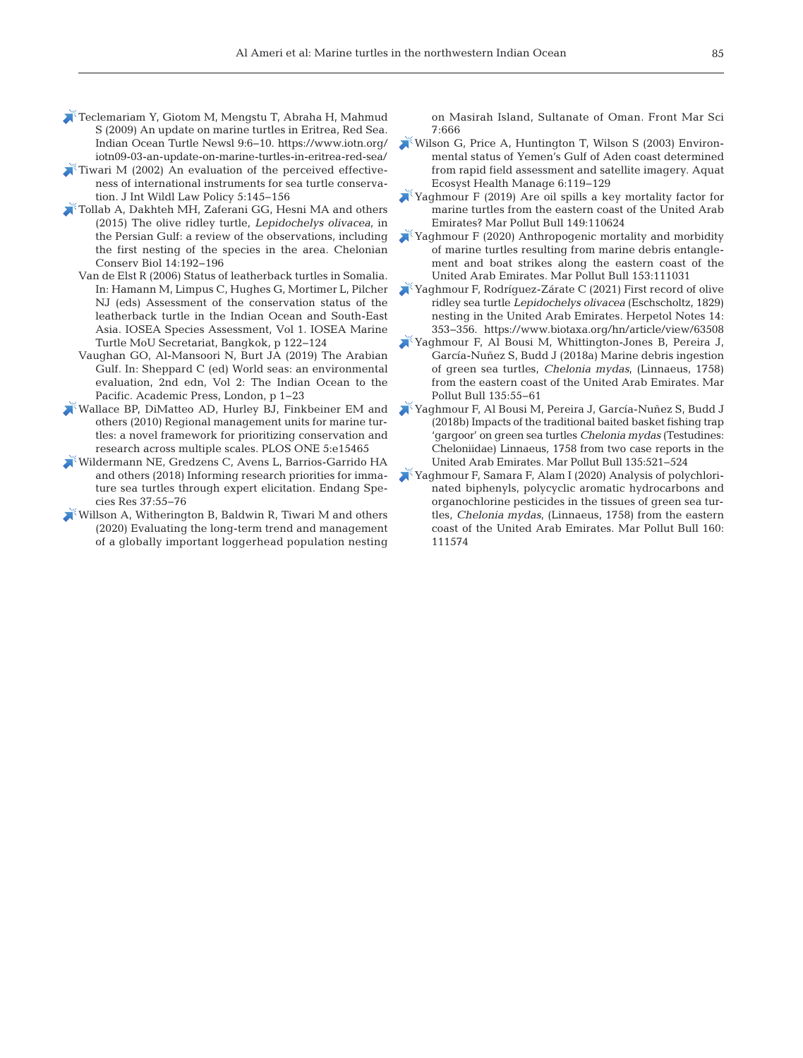- [Teclemariam Y, Giotom M, Mengstu T, Abraha H, Mahmud](https://www.iotn.org/iotn09-03-an-update-on-marine-turtles-in-eritrea-red-sea/)  S (2009) An update on marine turtles in Eritrea, Red Sea. Indian Ocean Turtle Newsl 9:6-10. https://www.iotn.org/ iotn09-03-an-update-on-marine-turtles-in-eritrea-red-sea/
- Tiwari M  $(2002)$  An evaluation of the perceived effectiveness of international instruments for sea turtle conservation. J Int Wildl Law Policy 5: 145−156
- [Tollab A, Dakhteh MH, Zaferani GG, Hesni MA and others](https://doi.org/10.2744/CCB-1148.1)  (2015) The olive ridley turtle, *Lepidochelys olivacea*, in the Persian Gulf: a review of the observations, including the first nesting of the species in the area. Chelonian Conserv Biol 14: 192−196
	- Van de Elst R (2006) Status of leatherback turtles in Somalia. In: Hamann M, Limpus C, Hughes G, Mortimer L, Pilcher NJ (eds) Assessment of the conservation status of the leatherback turtle in the Indian Ocean and South-East Asia. IOSEA Species Assessment, Vol 1. IOSEA Marine Turtle MoU Secretariat, Bangkok, p 122−124
	- Vaughan GO, Al-Mansoori N, Burt JA (2019) The Arabian Gulf. In: Sheppard C (ed) World seas: an environmental evaluation, 2nd edn, Vol 2: The Indian Ocean to the Pacific. Academic Press, London, p 1−23
- [Wallace BP, DiMatteo AD, Hurley BJ, Finkbeiner EM and](https://doi.org/10.1371/journal.pone.0015465)  others (2010) Regional management units for marine turtles: a novel framework for prioritizing conservation and research across multiple scales. PLOS ONE 5:e15465
- [Wildermann NE, Gredzens C, Avens L, Barrios-Garrido HA](https://doi.org/10.3354/esr00916)  and others (2018) Informing research priorities for immature sea turtles through expert elicitation. Endang Species Res 37: 55−76
- [Willson A, Witherington B, Baldwin R, Tiwari M and others](https://doi.org/10.3389/fmars.2020.00666)  (2020) Evaluating the long-term trend and management of a globally important loggerhead population nesting

on Masirah Island, Sultanate of Oman. Front Mar Sci 7:666

- [Wilson G, Price A, Huntington T, Wilson S \(2003\) Environ](https://doi.org/10.1080/14634980301465)mental status of Yemen's Gulf of Aden coast determined from rapid field assessment and satellite imagery. Aquat Ecosyst Health Manage 6: 119−129
- [Yaghmour F \(2019\) Are oil spills a key mortality factor for](https://doi.org/10.1016/j.marpolbul.2019.110624)  marine turtles from the eastern coast of the United Arab Emirates? Mar Pollut Bull 149: 110624
- [Yaghmour F \(2020\) Anthropogenic mortality and morbidity](https://doi.org/10.1016/j.marpolbul.2020.111031)  of marine turtles resulting from marine debris entanglement and boat strikes along the eastern coast of the United Arab Emirates. Mar Pollut Bull 153: 111031
- [Yaghmour F, Rodríguez-Zárate C \(2021\) First record of olive](https://www.biotaxa.org/hn/article/view/63508)  ridley sea turtle *Lepidochelys olivacea* (Eschscholtz, 1829) nesting in the United Arab Emirates. Herpetol Notes 14: 353−356. https: //www.biotaxa.org/hn/article/view/63508
- [Yaghmour F, Al Bousi M, Whittington-Jones B, Pereira J,](https://doi.org/10.1016/j.marpolbul.2018.07.013)  García-Nuñez S, Budd J (2018a) Marine debris ingestion of green sea turtles, *Chelonia mydas*, (Linnaeus, 1758) from the eastern coast of the United Arab Emirates. Mar Pollut Bull 135:55-61
- [Yaghmour F, Al Bousi M, Pereira J, García-Nuñez S, Budd J](https://doi.org/10.1016/j.marpolbul.2018.07.059)  (2018b) Impacts of the traditional baited basket fishing trap 'gargoor' on green sea turtles *Chelonia mydas* (Testudines: Cheloniidae) Linnaeus, 1758 from two case reports in the United Arab Emirates. Mar Pollut Bull 135: 521−524
- [Yaghmour F, Samara F, Alam I \(2020\) Analysis of polychlori](https://doi.org/10.1016/j.marpolbul.2020.111574)nated biphenyls, polycyclic aromatic hydrocarbons and organochlorine pesticides in the tissues of green sea turtles, *Chelonia mydas*, (Linnaeus, 1758) from the eastern coast of the United Arab Emirates. Mar Pollut Bull 160: 111574